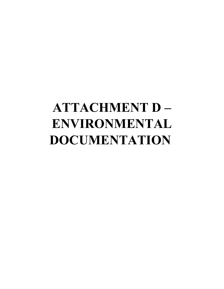# **ATTACHMENT D – ENVIRONMENTAL DOCUMENTATION**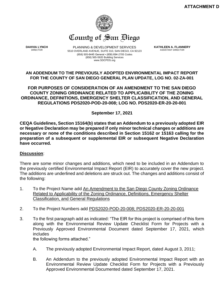

**DAHVIA LYNCH** DIRECTOR

PLANNING & DEVELOPMENT SERVICES 5510 OVERLAND AVENUE, SUITE 310, SAN DIEGO, CA 92123 (858) 505-6445 General ▪ (858) 694-2705 Codes (858) 565-5920 Building Services www.SDCPDS.org

**KATHLEEN A. FLANNERY** ASSISTANT DIRECTOR

#### **AN ADDENDUM TO THE PREVIOUSLY ADOPTED ENVIRONMENTAL IMPACT REPORT FOR THE COUNTY OF SAN DIEGO GENERAL PLAN UPDATE, LOG NO. 02-ZA-001**

**FOR PURPOSES OF CONSIDERATION OF AN AMENDMENT TO THE SAN DIEGO COUNTY ZONING ORDINANCE RELATED TO APPLICABILITY OF THE ZONING ORDINANCE, DEFINITIONS, EMERGENCY SHELTER CLASSIFICATION, AND GENERAL REGULATIONS PDS2020-POD-20-008; LOG NO. PDS2020-ER-20-20-001**

**September 17, 2021**

**CEQA Guidelines, Section 15164(b) states that an Addendum to a previously adopted EIR or Negative Declaration may be prepared if only minor technical changes or additions are necessary or none of the conditions described in Section 15162 or 15163 calling for the preparation of a subsequent or supplemental EIR or subsequent Negative Declaration have occurred.**

# **Discussion**:

There are some minor changes and additions, which need to be included in an Addendum to the previously certified Environmental Impact Report (EIR) to accurately cover the new project. The additions are underlined and deletions are struck out. The changes and additions consist of the following:

- 1. To the Project Name add An Amendment to the San Diego County Zoning Ordinance Related to Applicability of the Zoning Ordinance, Definitions, Emergency Shelter Classification, and General Regulations
- 2. To the Project Numbers add PDS2020-POD-20-008; PDS2020-ER-20-20-001
- 3. To the first paragraph add as indicated: "The EIR for this project is comprised of this form along with the Environmental Review Update Checklist Form for Projects with a Previously Approved Environmental Document dated September 17, 2021, which includes

the following forms attached."

- A. The previously adopted Environmental Impact Report, dated August 3, 2011;
- B. An Addendum to the previously adopted Environmental Impact Report with an Environmental Review Update Checklist Form for Projects with a Previously Approved Environmental Documented dated September 17, 2021.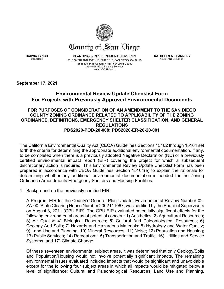

**DAHVIA LYNCH** DIRECTOR

PLANNING & DEVELOPMENT SERVICES 5510 OVERLAND AVENUE, SUITE 310, SAN DIEGO, CA 92123 (858) 505-6445 General ▪ (858) 694-2705 Codes (858) 565-5920 Building Services www.SDCPDS.org

**KATHLEEN A. FLANNERY** ASSISTANT DIRECTOR

**September 17, 2021**

# **Environmental Review Update Checklist Form For Projects with Previously Approved Environmental Documents**

# **FOR PURPOSES OF CONSIDERATION OF AN AMENDMENT TO THE SAN DIEGO COUNTY ZONING ORDINANCE RELATED TO APPLICABILITY OF THE ZONING ORDINANCE, DEFINITIONS, EMERGENCY SHELTER CLASSIFICATION, AND GENERAL REGULATIONS PDS2020-POD-20-008; PDS2020-ER-20-20-001**

The California Environmental Quality Act (CEQA) Guidelines Sections 15162 through 15164 set forth the criteria for determining the appropriate additional environmental documentation, if any, to be completed when there is a previously adopted Negative Declaration (ND) or a previously certified environmental impact report (EIR) covering the project for which a subsequent discretionary action is required. This Environmental Review Update Checklist Form has been prepared in accordance with CEQA Guidelines Section 15164(e) to explain the rationale for determining whether any additional environmental documentation is needed for the Zoning Ordinance Amendments Emergency Shelters and Housing Facilities.

1. Background on the previously certified EIR:

A Program EIR for the County's General Plan Update, Environmental Review Number 02- ZA-00, State Clearing House Number 2002111067, was certified by the Board of Supervisors on August 3, 2011 (GPU EIR). The GPU EIR evaluated potentially significant effects for the following environmental areas of potential concern: 1) Aesthetics; 2) Agricultural Resources; 3) Air Quality; 4) Biological Resources; 5) Cultural And Paleontological Resources; 6) Geology And Soils; 7) Hazards and Hazardous Materials; 8) Hydrology and Water Quality; 9) Land Use and Planning; 10) Mineral Resources; 11) Noise; 12) Population and Housing; 13) Public Services; 14) Recreation; 15) Transportation and Traffic; 16) Utilities and Service Systems, and 17) Climate Change.

Of these seventeen environmental subject areas, it was determined that only Geology/Soils and Population/Housing would not involve potentially significant impacts. The remaining environmental issues evaluated included impacts that would be significant and unavoidable except for the following four subject areas in which all impacts would be mitigated below a level of significance: Cultural and Paleontological Resources, Land Use and Planning,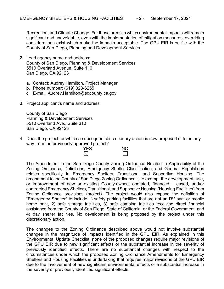Recreation, and Climate Change. For those areas in which environmental impacts will remain significant and unavoidable, even with the implementation of mitigation measures, overriding considerations exist which make the impacts acceptable. The GPU EIR is on file with the County of San Diego, Planning and Development Services.

- 2. Lead agency name and address: County of San Diego, Planning & Development Services 5510 Overland Avenue, Suite 110 San Diego, CA 92123
	- a. Contact: Audrey Hamilton, Project Manager
	- b. Phone number: (619) 323-6255
	- c. E-mail: Audrey.Hamilton@sdcounty.ca.gov
- 3. Project applicant's name and address:

County of San Diego Planning & Development Services 5510 Overland Ave., Suite 310 San Diego, CA 92123

4. Does the project for which a subsequent discretionary action is now proposed differ in any way from the previously approved project?

| . . | . . | . .<br>.<br>__<br><b>YES</b> | <b>NO</b> |
|-----|-----|------------------------------|-----------|
|     |     | ◟                            |           |

The Amendment to the San Diego County Zoning Ordinance Related to Applicability of the Zoning Ordinance, Definitions, Emergency Shelter Classification, and General Regulations relates specifically to Emergency Shelters, Transitional and Supportive Housing. The amendment to the County of San Diego Zoning Ordinance is to exempt the development, use, or improvement of new or existing County-owned, operated, financed, leased, and/or contracted Emergency Shelters, Transitional, and Supportive Housing (Housing Facilities) from Zoning Ordinance provisions (project). The project would also expand the definition of "Emergency Shelter" to include 1) safety parking facilities that are not an RV park or mobile home park, 2) safe storage facilities, 3) safe camping facilities receiving direct financial assistance from the County of San Diego, State of California, or the Federal Government, and 4) day shelter facilities. No development is being proposed by the project under this discretionary action.

The changes to the Zoning Ordinance described above would not involve substantial changes in the magnitude of impacts identified in the GPU EIR. As explained in this Environmental Update Checklist, none of the proposed changes require major revisions of the GPU EIR due to new significant effects or the substantial increase in the severity of previously identified effects. There are no substantial changes with respect to the circumstances under which the proposed Zoning Ordinance Amendments for Emergency Shelters and Housing Facilities is undertaking that requires major revisions of the GPU EIR due to the involvement of new significant environmental effects or a substantial increase in the severity of previously identified significant effects.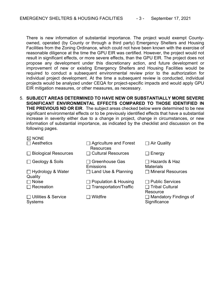There is new information of substantial importance. The project would exempt Countyowned, operated (by County or through a third party) Emergency Shelters and Housing Facilities from the Zoning Ordinance, which could not have been known with the exercise of reasonable diligence at the time the GPU EIR was certified. However, the project would not result in significant effects, or more severe effects, than the GPU EIR. The project does not propose any development under this discretionary action, and future development or improvement of new or existing Emergency Shelters and Housing Facilities would be required to conduct a subsequent environmental review prior to the authorization for individual project development. At the time a subsequent review is conducted, individual projects would be analyzed under CEQA for project-specific impacts and would apply GPU EIR mitigation measures, or other measures, as necessary.

5. **SUBJECT AREAS DETERMINED TO HAVE NEW OR SUBSTANTIALLY MORE SEVERE SIGNIFICANT ENVIRONMENTAL EFFECTS COMPARED TO THOSE IDENTIFIED IN THE PREVIOUS ND OR EIR**. The subject areas checked below were determined to be new significant environmental effects or to be previously identified effects that have a substantial increase in severity either due to a change in project, change in circumstances, or new information of substantial importance, as indicated by the checklist and discussion on the following pages.

| $\boxtimes$ NONE                             |                                            |                                              |
|----------------------------------------------|--------------------------------------------|----------------------------------------------|
| $\Box$ Aesthetics                            | <b>Agriculture and Forest</b><br>Resources | $\Box$ Air Quality                           |
| <b>Biological Resources</b>                  | $\Box$ Cultural Resources                  | Energy<br>$\perp$                            |
| $\Box$ Geology & Soils                       | <b>Greenhouse Gas</b><br>Emissions         | ⊟ Hazards & Haz<br><b>Materials</b>          |
| $\Box$ Hydrology & Water<br>Quality          | $\Box$ Land Use & Planning                 | $\Box$ Mineral Resources                     |
| $\Box$ Noise                                 | Population & Housing                       | <b>Public Services</b>                       |
| $\Box$ Recreation                            | $\Box$ Transportation/Traffic              | $\Box$ Tribal Cultural<br>Resource           |
| $\Box$ Utilities & Service<br><b>Systems</b> | Wildfire                                   | $\Box$ Mandatory Findings of<br>Significance |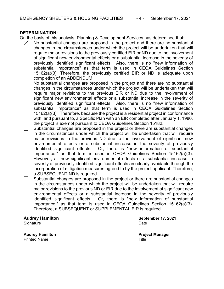# **DETERMINATION:**

On the basis of this analysis, Planning & Development Services has determined that:

- $\boxtimes$ No substantial changes are proposed in the project and there are no substantial changes in the circumstances under which the project will be undertaken that will require major revisions to the previously certified EIR or ND due to the involvement of significant new environmental effects or a substantial increase in the severity of previously identified significant effects. Also, there is no "new information of substantial importance" as that term is used in CEQA Guidelines Section 15162(a)(3). Therefore, the previously certified EIR or ND is adequate upon completion of an ADDENDUM.
- $\Box$ No substantial changes are proposed in the project and there are no substantial changes in the circumstances under which the project will be undertaken that will require major revisions to the previous EIR or ND due to the involvement of significant new environmental effects or a substantial increase in the severity of previously identified significant effects. Also, there is no "new information of substantial importance" as that term is used in CEQA Guidelines Section 15162(a)(3). Therefore, because the project is a residential project in conformance with, and pursuant to, a Specific Plan with an EIR completed after January 1, 1980, the project is exempt pursuant to CEQA Guidelines Section 15182.
	- Substantial changes are proposed in the project or there are substantial changes in the circumstances under which the project will be undertaken that will require major revisions to the previous ND due to the involvement of significant new environmental effects or a substantial increase in the severity of previously identified significant effects. Or, there is "new information of substantial importance," as that term is used in CEQA Guidelines Section 15162(a)(3). However, all new significant environmental effects or a substantial increase in severity of previously identified significant effects are clearly avoidable through the incorporation of mitigation measures agreed to by the project applicant. Therefore, a SUBSEQUENT ND is required.
- Substantial changes are proposed in the project or there are substantial changes  $\Box$ in the circumstances under which the project will be undertaken that will require major revisions to the previous ND or EIR due to the involvement of significant new environmental effects or a substantial increase in the severity of previously identified significant effects. Or, there is "new information of substantial importance," as that term is used in CEQA Guidelines Section 15162(a)(3). Therefore, a SUBSEQUENT or SUPPLEMENTAL EIR is required.

| <b>Audrey Hamilton</b> | <b>September 17, 2021</b> |
|------------------------|---------------------------|
| Signature              | Date                      |
|                        |                           |
|                        |                           |
| <b>Audrey Hamilton</b> | <b>Project Manager</b>    |
| <b>Printed Name</b>    | Title                     |
|                        |                           |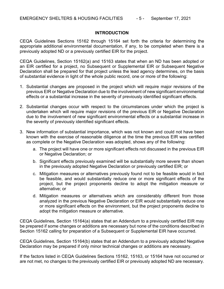## **INTRODUCTION**

CEQA Guidelines Sections 15162 through 15164 set forth the criteria for determining the appropriate additional environmental documentation, if any, to be completed when there is a previously adopted ND or a previously certified EIR for the project.

CEQA Guidelines, Section 15162(a) and 15163 states that when an ND has been adopted or an EIR certified for a project, no Subsequent or Supplemental EIR or Subsequent Negative Declaration shall be prepared for that project unless the lead agency determines, on the basis of substantial evidence in light of the whole public record, one or more of the following:

- 1. Substantial changes are proposed in the project which will require major revisions of the previous EIR or Negative Declaration due to the involvement of new significant environmental effects or a substantial increase in the severity of previously identified significant effects.
- 2. Substantial changes occur with respect to the circumstances under which the project is undertaken which will require major revisions of the previous EIR or Negative Declaration due to the involvement of new significant environmental effects or a substantial increase in the severity of previously identified significant effects.
- 3. New information of substantial importance, which was not known and could not have been known with the exercise of reasonable diligence at the time the previous EIR was certified as complete or the Negative Declaration was adopted, shows any of the following:
	- a. The project will have one or more significant effects not discussed in the previous EIR or Negative Declaration; or
	- b. Significant effects previously examined will be substantially more severe than shown in the previously adopted Negative Declaration or previously certified EIR; or
	- c. Mitigation measures or alternatives previously found not to be feasible would in fact be feasible, and would substantially reduce one or more significant effects of the project, but the project proponents decline to adopt the mitigation measure or alternative; or
	- d. Mitigation measures or alternatives which are considerably different from those analyzed in the previous Negative Declaration or EIR would substantially reduce one or more significant effects on the environment, but the project proponents decline to adopt the mitigation measure or alternative.

CEQA Guidelines, Section 15164(a) states that an Addendum to a previously certified EIR may be prepared if some changes or additions are necessary but none of the conditions described in Section 15162 calling for preparation of a Subsequent or Supplemental EIR have occurred.

CEQA Guidelines, Section 15164(b) states that an Addendum to a previously adopted Negative Declaration may be prepared if only minor technical changes or additions are necessary.

If the factors listed in CEQA Guidelines Sections 15162, 15163, or 15164 have not occurred or are not met, no changes to the previously certified EIR or previously adopted ND are necessary.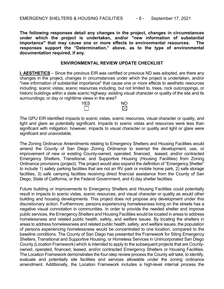**The following responses detail any changes in the project, changes in circumstances under which the project is undertaken, and/or "new information of substantial importance" that may cause one or more effects to environmental resources. The responses support the "Determination," above, as to the type of environmental documentation required, if any.** 

#### **ENVIRONMENTAL REVIEW UPDATE CHECKLIST**

**I. AESTHETICS** – Since the previous EIR was certified or previous ND was adopted, are there any changes in the project, changes in circumstances under which the project is undertaken, and/or "new information of substantial importance" that cause one or more effects to aesthetic resources including: scenic vistas; scenic resources including, but not limited to, trees, rock outcroppings, or historic buildings within a state scenic highway; existing visual character or quality of the site and its surroundings; or day or nighttime views in the area?



The GPU EIR identified impacts to scenic vistas, scenic resources, visual character or quality, and light and glare as potentially significant. Impacts to scenic vistas and resources were less than significant with mitigation; however, impacts to visual character or quality and light or glare were significant and unavoidable.

The Zoning Ordinance Amendments relating to Emergency Shelters and Housing Facilities would amend the County of San Diego Zoning Ordinance to exempt the development, use, or improvement of new or existing County-owned, operated, financed, leased, and/or contracted Emergency Shelters, Transitional, and Supportive Housing (Housing Facilities) from Zoning Ordinance provisions (project). The project would also expand the definition of "Emergency Shelter" to include 1) safety parking facilities that are not an RV park or mobile home park, 2) safe storage facilities, 3) safe camping facilities receiving direct financial assistance from the County of San Diego, State of California, or the Federal Government, and 4) day shelter facilities.

Future building or improvements to Emergency Shelters and Housing Facilities could potentially result in impacts to scenic vistas, scenic resources, and visual character or quality as would other building and housing developments. This project does not propose any development under this discretionary action. Furthermore, persons experiencing homelessness living on the streets has a negative visual connotation in communities. In order to provide the needed shelter and improve public services, the Emergency Shelters and Housing Facilities would be located in areas to address homelessness and related public health, safety, and welfare issues. By locating the shelters in areas to address homelessness and related public health, safety, and welfare issues, the population of persons experiencing homelessness would be concentrated to one location, compared to the baseline conditions. The County of San Diego has presented the Framework for Siting Emergency Shelters, Transitional and Supportive Housing, or Homeless Services in Unincorporated San Diego County (Location Framework) which is intended to apply to the subsequent projects that are Countyowned, operated, financed, leased, and/or contracted Emergency Shelters or Housing Facilities. The Location Framework demonstrates the four-step review process the County will take, to identify, evaluate and potentially site facilities and services allowable under the zoning ordinance amendment. Additionally, the Location Framework includes a high-level internal process the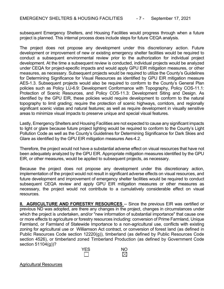subsequent Emergency Shelters, and Housing Facilities would progress through when a future project is planned. This internal process does include steps for future CEQA analysis.

The project does not propose any development under this discretionary action. Future development or improvement of new or existing emergency shelter facilities would be required to conduct a subsequent environmental review prior to the authorization for individual project development. At the time a subsequent review is conducted, individual projects would be analyzed under CEQA for project-specific impacts and would apply GPU EIR mitigation measures, or other measures, as necessary. Subsequent projects would be required to utilize the County's Guidelines for Determining Significance for Visual Resources as identified by GPU EIR mitigation measure AES-1.3. Subsequent projects would also be required to conform to the County's General Plan policies such as Policy LU-6.9: Development Conformance with Topography, Policy COS-11.1: Protection of Scenic Resources, and Policy COS-11.3: Development Siting and Design. As identified by the GPU EIR, these policies would require development to conform to the natural topography to limit grading; require the protection of scenic highways, corridors, and regionally significant scenic vistas and natural features; as well as require development in visually sensitive areas to minimize visual impacts to preserve unique and special visual features.

Lastly, Emergency Shelters and Housing Facilities are not expected to cause any significant impacts to light or glare because future project lighting would be required to conform to the County's Light Pollution Code as well as the County's Guidelines for Determining Significance for Dark Skies and Glare as identified by the GPU EIR mitigation measures Aes-4.2.

Therefore, the project would not have a substantial adverse effect on visual resources that have not been adequately analyzed by the GPU EIR. Appropriate mitigation measures identified by the GPU EIR, or other measures, would be applied to subsequent projects, as necessary.

Because the project does not propose any development under this discretionary action, implementation of the project would not result in significant adverse effects on visual resources, and future development and improvement of emergency shelter facilities would be required to conduct subsequent CEQA review and apply GPU EIR mitigation measures or other measures as necessary, the project would not contribute to a cumulatively considerable effect on visual resources.

**II. AGRICULTURE AND FORESTRY RESOURCES** -- Since the previous EIR was certified or previous ND was adopted, are there any changes in the project, changes in circumstances under which the project is undertaken, and/or "new information of substantial importance" that cause one or more effects to agriculture or forestry resources including: conversion of Prime Farmland, Unique Farmland, or Farmland of Statewide Importance to a non-agricultural use, conflicts with existing zoning for agricultural use or Williamson Act contract, or conversion of forest land (as defined in Public Resources Code section 12220(g)), timberland (as defined by Public Resources Code section 4526), or timberland zoned Timberland Production (as defined by Government Code section 51104(g))?



Agricultural Resources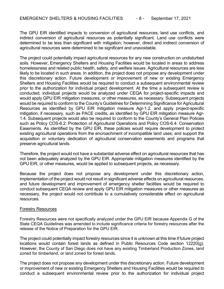The GPU EIR identified impacts to conversion of agricultural resources, land use conflicts, and indirect conversion of agricultural resources as potentially significant. Land use conflicts were determined to be less than significant with mitigation; however, direct and indirect conversion of agricultural resources were determined to be significant and unavoidable.

The project could potentially impact agricultural resources for any new construction on undisturbed soils. However, Emergency Shelters and Housing Facilities would be located in areas to address homelessness and related public health, safety, and welfare issues. Agricultural resources are less likely to be located in such areas. In addition, the project does not propose any development under this discretionary action. Future development or improvement of new or existing Emergency Shelters and Housing Facilities would be required to conduct a subsequent environmental review prior to the authorization for individual project development. At the time a subsequent review is conducted, individual projects would be analyzed under CEQA for project-specific impacts and would apply GPU EIR mitigation measures, or other measures, as necessary. Subsequent projects would be required to conform to the County's Guidelines for Determining Significance for Agricultural Resources as identified by GPU EIR mitigation measure Agr-1.2. and apply project-specific mitigation, if necessary, such as PACE credits, as identified by GPU EIR mitigation measure Agr-1.4. Subsequent projects would also be required to conform to the County's General Plan Policies such as Policy COS-6.2: Protection of Agricultural Operations and Policy COS-6.4: Conservation Easements. As identified by the GPU EIR, these policies would require development to protect existing agricultural operations from the encroachment of incompatible land uses; and support the acquisition or voluntary dedication of agricultural conservation easements and programs that preserve agricultural lands.

Therefore, the project would not have a substantial adverse effect on agricultural resources that has not been adequately analyzed by the GPU EIR. Appropriate mitigation measures identified by the GPU EIR, or other measures, would be applied to subsequent projects, as necessary.

Because the project does not propose any development under this discretionary action, implementation of the project would not result in significant adverse effects on agricultural resources, and future development and improvement of emergency shelter facilities would be required to conduct subsequent CEQA review and apply GPU EIR mitigation measures or other measures as necessary, the project would not contribute to a cumulatively considerable effect on agricultural resources.

#### Forestry Resources

Forestry Resources were not specifically analyzed under the GPU EIR because Appendix G of the State CEQA Guidelines was amended to include significance criteria for forestry resources after the release of the Notice of Preparation for the GPU EIR.

The project could potentially impact forestry resources since it is unknown at this time if future project locations would contain forest lands as defined in Public Resources Code section 12220(g). However, the County of San Diego does not have any existing Timberland Production Zones, land zoned for timberland, or land zoned for forest lands.

The project does not propose any development under this discretionary action. Future development or improvement of new or existing Emergency Shelters and Housing Facilities would be required to conduct a subsequent environmental review prior to the authorization for individual project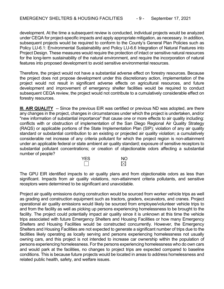development. At the time a subsequent review is conducted, individual projects would be analyzed under CEQA for project-specific impacts and apply appropriate mitigation, as necessary. In addition, subsequent projects would be required to conform to the County's General Plan Policies such as Policy LU-6.1: Environmental Sustainability and Policy LU-6.6 Integration of Natural Features into Project Design. These measures would require the protection of intact or sensitive natural resources for the long-term sustainability of the natural environment, and require the incorporation of natural features into proposed development to avoid sensitive environmental resources.

Therefore, the project would not have a substantial adverse effect on forestry resources. Because the project does not propose development under this discretionary action, implementation of the project would not result in significant adverse effects on agricultural resources, and future development and improvement of emergency shelter facilities would be required to conduct subsequent CEQA review, the project would not contribute to a cumulatively considerable effect on forestry resources.

**III. AIR QUALITY** -- Since the previous EIR was certified or previous ND was adopted, are there any changes in the project, changes in circumstances under which the project is undertaken, and/or "new information of substantial importance" that cause one or more effects to air quality including: conflicts with or obstruction of implementation of the San Diego Regional Air Quality Strategy (RAQS) or applicable portions of the State Implementation Plan (SIP); violation of any air quality standard or substantial contribution to an existing or projected air quality violation; a cumulatively considerable net increase of any criteria pollutant for which the project region is non-attainment under an applicable federal or state ambient air quality standard; exposure of sensitive receptors to substantial pollutant concentrations; or creation of objectionable odors affecting a substantial number of people?



The GPU EIR identified impacts to air quality plans and from objectionable odors as less than significant. Impacts from air quality violations, non-attainment criteria pollutants, and sensitive receptors were determined to be significant and unavoidable.

Project air quality emissions during construction would be sourced from worker vehicle trips as well as grading and construction equipment such as tractors, graders, excavators, and cranes. Project operational air quality emissions would likely be sourced from employee/volunteer vehicle trips to and from the facility as well as picking up persons experiencing homelessness to be brought to the facility. The project could potentially impact air quality since it is unknown at this time the vehicle trips associated with future Emergency Shelters and Housing Facilities or how many Emergency Shelters and Housing Facilities would be constructed concurrently. However, the Emergency Shelters and Housing Facilities are not expected to generate a significant number of trips due to the facilities likely operating as locally serving and persons experiencing homelessness not usually owning cars, and this project is not intended to increase car ownership within the population of persons experiencing homelessness. For the persons experiencing homelessness who do own cars and would park at the facilities, no changes to project trips are expected compared to baseline conditions. This is because future projects would be located in areas to address homelessness and related public health, safety, and welfare issues.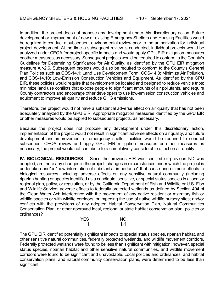In addition, the project does not propose any development under this discretionary action. Future development or improvement of new or existing Emergency Shelters and Housing Facilities would be required to conduct a subsequent environmental review prior to the authorization for individual project development. At the time a subsequent review is conducted, individual projects would be analyzed under CEQA for project-specific impacts and would apply GPU EIR mitigation measures or other measures, as necessary. Subsequent projects would be required to conform to the County's Guidelines for Determining Significance for Air Quality, as identified by the GPU EIR mitigation measure Air-2.6. Subsequent projects would also be required to conform to the County's General Plan Policies such as COS-14.1: Land Use Development Form, COS-14.8: Minimize Air Pollution, and COS-14.10: Low-Emission Construction Vehicles and Equipment. As identified by the GPU EIR, these policies would require that development be located and designed to reduce vehicle trips; minimize land use conflicts that expose people to significant amounts of air pollutants, and require County contractors and encourage other developers to use low-emission construction vehicles and equipment to improve air quality and reduce GHG emissions.

Therefore, the project would not have a substantial adverse effect on air quality that has not been adequately analyzed by the GPU EIR. Appropriate mitigation measures identified by the GPU EIR or other measures would be applied to subsequent projects, as necessary.

Because the project does not propose any development under this discretionary action, implementation of the project would not result in significant adverse effects on air quality, and future development and improvement of emergency shelter facilities would be required to conduct subsequent CEQA review and apply GPU EIR mitigation measures or other measures as necessary, the project would not contribute to a cumulatively considerable effect on air quality.

**IV. BIOLOGICAL RESOURCES** -- Since the previous EIR was certified or previous ND was adopted, are there any changes in the project, changes in circumstances under which the project is undertaken and/or "new information of substantial importance" that cause one or more effects to biological resources including: adverse effects on any sensitive natural community (including riparian habitat) or species identified as a candidate, sensitive, or special status species in a local or regional plan, policy, or regulation, or by the California Department of Fish and Wildlife or U.S. Fish and Wildlife Service; adverse effects to federally protected wetlands as defined by Section 404 of the Clean Water Act; interference with the movement of any native resident or migratory fish or wildlife species or with wildlife corridors, or impeding the use of native wildlife nursery sites; and/or conflicts with the provisions of any adopted Habitat Conservation Plan, Natural Communities Conservation Plan, or other approved local, regional or state habitat conservation plan, policies or ordinances?



The GPU EIR identified potentially significant impacts to special status species, riparian habitat, and other sensitive natural communities, federally protected wetlands, and wildlife movement corridors. Federally protected wetlands were found to be less than significant with mitigation; however, special status species, riparian habitat and other sensitive natural communities, and wildlife movement corridors were found to be significant and unavoidable. Local policies and ordinances, and habitat conservation plans, and natural community conservation plans, were determined to be less than significant.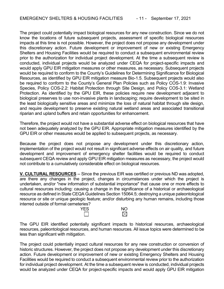The project could potentially impact biological resources for any new construction. Since we do not know the locations of future subsequent projects, assessment of specific biological resources impacts at this time is not possible. However, the project does not propose any development under this discretionary action. Future development or improvement of new or existing Emergency Shelters and Housing Facilities would be required to conduct a subsequent environmental review prior to the authorization for individual project development. At the time a subsequent review is conducted, individual projects would be analyzed under CEQA for project-specific impacts and would apply GPU EIR mitigation measures or other measures, as necessary. Subsequent projects would be required to conform to the County's Guidelines for Determining Significance for Biological Resources, as identified by GPU EIR mitigation measure Bio-1.5. Subsequent projects would also be required to conform to the County's General Plan Policies such as Policy COS-1.9: Invasive Species, Policy COS-2.2: Habitat Protection through Site Design, and Policy COS-3.1: Wetland Protection. As identified by the GPU EIR, these policies require new development adjacent to biological preserves to use non-invasive plants in landscaping; require development to be sited in the least biologically sensitive areas and minimize the loss of natural habitat through site design, and require development to preserve existing natural wetland areas and associated transitional riparian and upland buffers and retain opportunities for enhancement.

Therefore, the project would not have a substantial adverse effect on biological resources that have not been adequately analyzed by the GPU EIR. Appropriate mitigation measures identified by the GPU EIR or other measures would be applied to subsequent projects, as necessary.

Because the project does not propose any development under this discretionary action, implementation of the project would not result in significant adverse effects on air quality, and future development and improvement of emergency shelter facilities would be required to conduct subsequent CEQA review and apply GPU EIR mitigation measures as necessary, the project would not contribute to a cumulatively considerable effect on biological resources.

**V. CULTURAL RESOURCES** -- Since the previous EIR was certified or previous ND was adopted, are there any changes in the project, changes in circumstances under which the project is undertaken, and/or "new information of substantial importance" that cause one or more effects to cultural resources including: causing a change in the significance of a historical or archaeological resource as defined in State CEQA Guidelines Section 15064.5; destroying a unique paleontological resource or site or unique geologic feature; and/or disturbing any human remains, including those interred outside of formal cemeteries?



The GPU EIR identified potentially significant impacts to historical resources, archaeological resources, paleontological resources, and human resources. All issue topics were determined to be less than significant with mitigation.

The project could potentially impact cultural resources for any new construction or conversion of historic structures. However, the project does not propose any development under this discretionary action. Future development or improvement of new or existing Emergency Shelters and Housing Facilities would be required to conduct a subsequent environmental review prior to the authorization for individual project development. At the time a subsequent review is conducted, individual projects would be analyzed under CEQA for project-specific impacts and would apply GPU EIR mitigation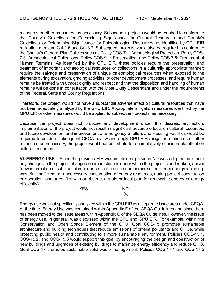measures or other measures, as necessary. Subsequent projects would be required to conform to the County's Guidelines for Determining Significance for Cultural Resources and County's Guidelines for Determining Significance for Paleontological Resources, as identified by GPU EIR mitigation measure Cul-1.6 and Cul-3.2. Subsequent projects would also be required to conform to the County's General Plan Policies such as Policy COS-7.1: Archaeological Protection, Policy COS-7.3: Archaeological Collections, Policy COS-9.1: Preservation, and Policy COS-7.5: Treatment of Human Remains. As identified by the GPU EIR, these policies require the preservation and treatment of important archaeological resources or collections in a culturally appropriate manner; require the salvage and preservation of unique paleontological resources when exposed to the elements during excavation, grading activities, or other development processes; and require human remains be treated with utmost dignity and respect and that the disposition and handling of human remains will be done in consultation with the Most Likely Descendant and under the requirements of the Federal, State and County Regulations.

Therefore, the project would not have a substantial adverse effect on cultural resources that have not been adequately analyzed by the GPU EIR. Appropriate mitigation measures identified by the GPU EIR or other measures would be applied to subsequent projects, as necessary.

Because the project does not propose any development under this discretionary action, implementation of the project would not result in significant adverse effects on cultural resources, and future development and improvement of Emergency Shelters and Housing Facilities would be required to conduct subsequent CEQA review and apply GPU EIR mitigation measures or other measures as necessary, the project would not contribute to a cumulatively considerable effect on cultural resources.

**VI. ENERGY USE –** Since the previous EIR was certified or previous ND was adopted, are there any changes in the project, changes in circumstances under which the project is undertaken, and/or "new information of substantial importance" that result in one or more effects from energy including: wasteful, inefficient, or unnecessary consumption of energy resources, during project construction or operation; and/or conflict with or obstruct a state or local plan for renewable energy or energy efficiently?



Energy use was not specifically analyzed within the GPU EIR as a separate issue area under CEQA. At the time, Energy Use was contained within Appendix F of the CEQA Guidelines and since then, has been moved to the issue areas within Appendix G of the CEQA Guidelines. However, the issue of energy use, in general, was discussed within the GPU and GPU EIR. For example, within the Conservation and Open Space Element of the GPU, Goal COS-15 promotes sustainable architecture and building techniques that reduce emissions of criteria pollutants and GHGs, while protecting public health and contributing to a more sustainable environment. Policies COS-15.1, COS-15.2, and COS-15.3 would support this goal by encouraging the design and construction of new buildings and upgrades of existing buildings to maximize energy efficiency and reduce GHG. Goal COS-17 promotes sustainable solid waste management. Policies COS-17.1 and COS-17.5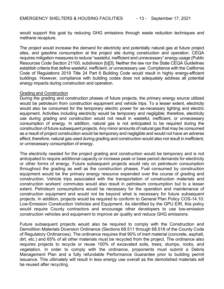would support this goal by reducing GHG emissions through waste reduction techniques and methane recapture.

The project would increase the demand for electricity and potentially natural gas at future project sites, and gasoline consumption at the project site during construction and operation. CEQA requires mitigation measures to reduce "wasteful, inefficient and unnecessary" energy usage (Public Resources Code Section 21100, subdivision [b][3]. Neither the law nor the State CEQA Guidelines establish criteria that define wasteful, inefficient, or unnecessary use. Compliance with the California Code of Regulations 2019 Title 24 Part 6 Building Code would result in highly energy-efficient buildings. However, compliance with building codes does not adequately address all potential energy impacts during construction and operation.

#### Grading and Construction

During the grading and construction phases of future projects, the primary energy source utilized would be petroleum from construction equipment and vehicle trips. To a lesser extent, electricity would also be consumed for the temporary electric power for as-necessary lighting and electric equipment. Activities including electricity would be temporary and negligible; therefore, electricity use during grading and construction would not result in wasteful, inefficient, or unnecessary consumption of energy. In addition, natural gas is not anticipated to be required during the construction of future subsequent projects. Any minor amounts of natural gas that may be consumed as a result of project construction would be temporary and negligible and would not have an adverse effect; therefore, natural gas used during grading and construction would also not result in inefficient, or unnecessary consumption of energy.

The electricity needed for the project grading and construction would be temporary and is not anticipated to require additional capacity or increase peak or base period demands for electricity or other forms of energy. Future subsequent projects would rely on petroleum consumption throughout the grading as well as the construction phases. Fuel consumed by construction equipment would be the primary energy resource expended over the course of grading and construction. Vehicle trips associated with the transportation of construction materials and construction workers' commutes would also result in petroleum consumption but to a lesser extent. Petroleum consumptions would be necessary for the operation and maintenance of construction equipment and would not be beyond what is necessary for future subsequent projects. In addition, projects would be required to conform to General Plan Policy COS-14.10: Low-Emission Construction Vehicles and Equipment. As identified by the GPU EIR, this policy would require County contractors and encourage other developers to use low-emission construction vehicles and equipment to improve air quality and reduce GHG emissions.

Future subsequent projects would also be required to comply with the Construction and Demolition Materials Diversion Ordinance (Sections 68.511 through 68.518 of the County Code of Regulatory Ordinances). The ordinance requires that 90% of inert material (concrete, asphalt, dirt, etc.) and 65% of all other materials must be recycled from the project. The ordinance also requires projects to recycle or reuse 100% of excavated soils, trees, stumps, rocks, and vegetation. In order to comply with the ordinance, proponents must submit a Debris Management Plan and a fully refundable Performance Guarantee prior to building permit issuance. This ultimately will result in less energy use overall as the demolished materials will be reused after recycling.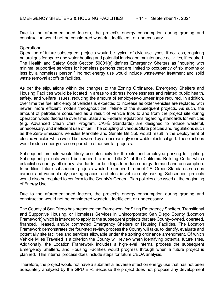Due to the aforementioned factors, the project's energy consumption during grading and construction would not be considered wasteful, inefficient, or unnecessary.

#### **Operational**

Operation of future subsequent projects would be typical of civic use types, if not less, requiring natural gas for space and water heating and potential landscape maintenance activities, if required. The Health and Safety Code Section 50801(e) defines Emergency Shelters as "housing with minimal supportive services for homeless persons that are limited to occupancy of six months or less by a homeless person." Indirect energy use would include wastewater treatment and solid waste removal at offsite facilities.

As per the stipulations within the changes to the Zoning Ordinance, Emergency Shelters and Housing Facilities would be located in areas to address homelessness and related public health, safety, and welfare issues, reducing the amount of employee/volunteer trips required. In addition, over time the fuel efficiency of vehicles is expected to increase as older vehicles are replaced with newer, more efficient models throughout the lifetime of the subsequent projects. As such, the amount of petroleum consumed as a result of vehicle trips to and from the project site during operation would decrease over time. State and Federal regulations regarding standards for vehicles (e.g. Advanced Clean Cars Program, CAFÉ Standards) are designed to reduce wasteful, unnecessary, and inefficient use of fuel. The coupling of various State policies and regulations such as the Zero-Emissions Vehicles Mandate and Senate Bill 350 would result in the deployment of electric vehicles which would be powered by an increasingly renewable electrical grid. These actions would reduce energy use compared to other similar projects.

Subsequent projects would likely use electricity for the site and employee parking lot lighting. Subsequent projects would be required to meet Title 24 of the California Building Code, which establishes energy efficiency standards for buildings to reduce energy demand and consumption. In addition, future subsequent projects would be required to meet CALGreen Standards such as carpool and vanpool-only parking spaces, and electric vehicle-only parking. Subsequent projects would also be required to conform to the County's General Plan policies discussed at the beginning of Energy Use.

Due to the aforementioned factors, the project's energy consumption during grading and construction would not be considered wasteful, inefficient, or unnecessary.

The County of San Diego has presented the Framework for Siting Emergency Shelters, Transitional and Supportive Housing, or Homeless Services in Unincorporated San Diego County (Location Framework) which is intended to apply to the subsequent projects that are County-owned, operated, financed, leased, and/or contracted Emergency Shelters or Housing Facilities. The Location Framework demonstrates the four-step review process the County will take, to identify, evaluate and potentially site facilities and services allowable under the zoning ordinance amendment. Of which Vehicle Miles Traveled is a criterion the County will review when identifying potential future sites. Additionally, the Location Framework includes a high-level internal process the subsequent Emergency Shelters, and Housing Facilities would progress through when a future project is planned. This internal process does include steps for future CEQA analysis.

Therefore, the project would not have a substantial adverse effect on energy use that has not been adequately analyzed by the GPU EIR. Because the project does not propose any development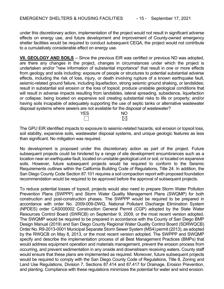under this discretionary action, implementation of the project would not result in significant adverse effects on energy use, and future development and improvement of County-owned emergency shelter facilities would be required to conduct subsequent CEQA, the project would not contribute to a cumulatively considerable effect on energy use.

**VII. GEOLOGY AND SOILS** -- Since the previous EIR was certified or previous ND was adopted, are there any changes in the project, changes in circumstances under which the project is undertaken and/or "new information of substantial importance" that result in one or more effects from geology and soils including: exposure of people or structures to potential substantial adverse effects, including the risk of loss, injury, or death involving rupture of a known earthquake fault, seismic-related ground failure, including liquefaction, strong seismic ground shaking, or landslides; result in substantial soil erosion or the loss of topsoil; produce unstable geological conditions that will result in adverse impacts resulting from landslides, lateral spreading, subsidence, liquefaction or collapse; being located on expansive soil creating substantial risks to life or property; and/or having soils incapable of adequately supporting the use of septic tanks or alternative wastewater disposal systems where sewers are not available for the disposal of wastewater?

The GPU EIR identified impacts to exposure to seismic-related hazards, soil erosion or topsoil loss, soil stability, expansive soils, wastewater disposal systems, and unique geologic features as less than significant. No mitigation was required.

YES NO

No development is proposed under this discretionary action as part of the project. Future subsequent projects could be hindered by a range of site development encumbrances such as a location near an earthquake fault, located on unstable geological unit or soil, or located on expansive soils. However, future subsequent projects would be required to conform to the Seismic Requirements outlines within the California Building Code of Regulations, Title 24. In addition, the San Diego County Code Section 87.101 requires a soil compaction report with proposed foundation recommendation would be required to be approved before the approval of subsequent projects.

To reduce potential losses of topsoil, projects would also need to prepare Storm Water Pollution Prevention Plans (SWPPP) and Storm Water Quality Management Plans (SWQMP) for both construction and post-construction phases. The SWPPP would be required to be prepared in accordance with order No. 2009-009-DWQ, National Pollutant Discharge Elimination System (NPDES) order CAS000002 Construction General Permit (CGP) adopted by the State Water Resources Control Board (SWRCB) on September 9, 2009, or the most recent version adopted. The SWQMP would be required to be prepared in accordance with the County of San Diego BMP Design Manual (2019) and San Diego County Regional Water Quality Control Board (SDRWQCB) Order No. R9-2013-0001 Municipal Separate Storm Sewer System (MS4) permit (2013), as adopted by the RWQCB on May 8, 2013, or the most recent version adopted. The SWPPP and SWQMP specify and describe the implementation process of all Best Management Practices (BMPs) that would address equipment operation and materials management, prevent the erosion process from occurring, and prevent sedimentation in any onside and downstream receiving waters. County staff would ensure that these plans are implemented as required. Moreover, future subsequent projects would be required to comply with the San Diego County Code of Regulations, Title 8, Zoning and Land Use Regulations, Division 7, Sections 87.414 and 87.417 for Drainage, Erosion Prevention, and planting. Compliance with these regulations minimizes the potential for water and wind erosion.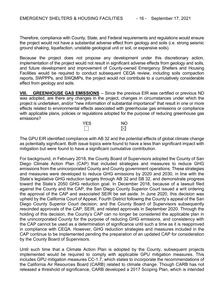Therefore, compliance with County, State, and Federal requirements and regulations would ensure the project would not have a substantial adverse effect from geology and soils (i.e. strong seismic ground shaking, liquefaction, unstable geological unit or soil, or expansive soils).

Because the project does not propose any development under this discretionary action, implementation of the project would not result in significant adverse effects from geology and soils, and future development and improvement of County-owned Emergency Shelters and Housing Facilities would be required to conduct subsequent CEQA review, including soils compaction reports, SWPPPs, and SWQMPs, the project would not contribute to a cumulatively considerable effect from geology and soils.

**VIII.** GREENHOUSE GAS EMISSIONS -- Since the previous EIR was certified or previous ND was adopted, are there any changes in the project, changes in circumstances under which the project is undertaken, and/or "new information of substantial importance" that result in one or more effects related to environmental effects associated with greenhouse gas emissions or compliance with applicable plans, policies or regulations adopted for the purpose of reducing greenhouse gas emissions?



The GPU EIR identified compliance with AB 32 and the potential effects of global climate change as potentially significant. Both issue topics were found to have a less than significant impact with mitigation but were found to have a significant cumulative contribution.

For background, in February 2018, the County Board of Supervisors adopted the County of San Diego Climate Action Plan (CAP) that included strategies and measures to reduce GHG emissions from the unincorporated County and County government operations. These strategies and measures were developed to reduce GHG emissions by 2020 and 2030, in line with the State's legislative GHG reduction targets through AB 32 and SB 32, and demonstrate progress toward the State's 2050 GHG reduction goal. In December 2018, because of a lawsuit filed against the County and the CAP, the San Diego County Superior Court issued a writ ordering the approval of the CAP and associated SEIR be set aside. In June 2020, this decision was upheld by the California Court of Appeal, Fourth District following the County's appeal of the San Diego County Superior Court decision, and the County Board of Supervisors subsequently rescinded approvals of the CAP, SEIR, and related approvals in September 2020. Through the holding of this decision, the County's CAP can no longer be considered the applicable plan in the unincorporated County for the purpose of reducing GHG emissions, and consistency with the CAP cannot be used as a determination of significance until such a time as it is reapproved in compliance with CEQA. However, GHG reduction strategies and measures included in the CAP continue to be implemented pending the preparation of an updated CAP for consideration by the County Board of Supervisors.

Until such time that a Climate Action Plan is adopted by the County, subsequent projects implemented would be required to comply with applicable GPU mitigation measures. This includes GPU mitigation measures CC-1.7, which states to incorporate the recommendations of the California Air Resources Board (CARB) related to climate change. Though CARB has not released a threshold of significance, CARB developed a 2017 Scoping Plan, which is intended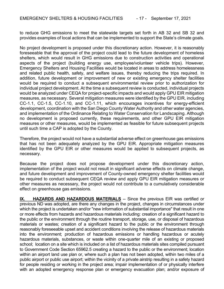to reduce GHG emissions to meet the statewide targets set forth in AB 32 and SB 32 and provides examples of local actions that can be implemented to support the State's climate goals.

No project development is proposed under this discretionary action. However, it is reasonably foreseeable that the approval of the project could lead to the future development of homeless shelters, which would result in GHG emissions due to construction activities and operational aspects of the project (building energy use, employee/volunteer vehicle trips). However, Emergency Shelters and Housing Facilities would be located in areas to address homelessness and related public health, safety, and welfare issues, thereby reducing the trips required. In addition, future development or improvement of new or existing emergency shelter facilities would be required to conduct a subsequent environmental review prior to authorization for individual project development. At the time a subsequent review is conducted, individual projects would be analyzed under CEQA for project-specific impacts and would apply GPU EIR mitigation measures, as necessary. Several mitigation measures were identified by the GPU EIR, including CC-1.1, CC-1.5, CC-1.10, and CC-1.11, which encourages incentives for energy-efficient development, coordination with the San Diego County Water Authority and other water agencies, and implementation of the Ordinance Relating to Water Conservation for Landscaping. Although no development is proposed currently, these requirements, and other GPU EIR mitigation measures or other measures, would be implemented as feasible for future subsequent projects until such time a CAP is adopted by the County.

Therefore, the project would not have a substantial adverse effect on greenhouse gas emissions that has not been adequately analyzed by the GPU EIR. Appropriate mitigation measures identified by the GPU EIR or other measures would be applied to subsequent projects, as necessary.

Because the project does not propose development under this discretionary action, implementation of the project would not result in significant adverse effects on climate change, and future development and improvement of County-owned emergency shelter facilities would be required to conduct subsequent CEQA review and apply GPU EIR mitigation measures or other measures as necessary, the project would not contribute to a cumulatively considerable effect on greenhouse gas emissions.

**IX. HAZARDS AND HAZARDOUS MATERIALS** -- Since the previous EIR was certified or previous ND was adopted, are there any changes in the project, changes in circumstances under which the project is undertaken and/or "new information of substantial importance" that result in one or more effects from hazards and hazardous materials including: creation of a significant hazard to the public or the environment through the routine transport, storage, use, or disposal of hazardous materials or wastes; creation of a significant hazard to the public or the environment through reasonably foreseeable upset and accident conditions involving the release of hazardous materials into the environment; production of hazardous emissions or handling hazardous or acutely hazardous materials, substances, or waste within one-quarter mile of an existing or proposed school; location on a site which is included on a list of hazardous materials sites compiled pursuant to Government Code Section 65962.5 creating a hazard to the public or the environment; location within an airport land use plan or, where such a plan has not been adopted, within two miles of a public airport or public use airport; within the vicinity of a private airstrip resulting in a safety hazard for people residing or working in the project area; impair implementation of or physically interfere with an adopted emergency response plan or emergency evacuation plan; and/or exposure of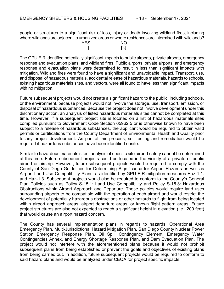people or structures to a significant risk of loss, injury or death involving wildland fires, including where wildlands are adjacent to urbanized areas or where residences are intermixed with wildlands?



The GPU EIR identified potentially significant impacts to public airports, private airports, emergency response and evacuation plans, and wildland fires. Public airports, private airports, and emergency response and evacuation plans were determined to result in less than significant impacts with mitigation. Wildland fires were found to have a significant and unavoidable impact. Transport, use, and disposal of hazardous materials, accidental release of hazardous materials, hazards to schools, existing hazardous materials sites, and vectors, were all found to have less than significant impacts with no mitigation.

Future subsequent projects would not create a significant hazard to the public, including schools, or the environment, because projects would not involve the storage, use, transport, emission, or disposal of hazardous substances. Because the project does not involve development under this discretionary action, an analysis of listed hazardous materials sites cannot be completed at this time. However, if a subsequent project site is located on a list of hazardous materials sites compiled pursuant to Government Code Section 65962.5 or is otherwise known to have been subject to a release of hazardous substances, the applicant would be required to obtain valid permits or certifications from the County Department of Environmental Health and Quality prior to any project development. As part of this process, soil testing and remediation would be required if hazardous substances have been identified onsite.

Similar to hazardous materials sites, analysis of specific site airport safety cannot be determined at this time. Future subsequent projects could be located in the vicinity of a private or public airport or airstrip. However, future subsequent projects would be required to comply with the County of San Diego Guidelines for Determining Significance for Airport Hazards as well as Airport Land Use Compatibility Plans, as identified by GPU EIR mitigation measures Haz-1.1. and Haz-1.3. Subsequent projects would also be required to conform to the County's General Plan Policies such as Policy S-15.1: Land Use Compatibility and Policy S-15.3: Hazardous Obstructions within Airport Approach and Departure. These policies would require land uses surrounding airports to be compatible with the operation of each airport and would restrict the development of potentially hazardous obstructions or other hazards to flight from being located within airport approach areas, airport departure areas, or known flight pattern areas. Future project structures are also not expected to reach a significant height in elevation (i.e., 200 feet) that would cause an airport hazard concern.

The County has several implementation plans in regards to hazards: Operational Area Emergency Plan, Multi-Jurisdictional Hazard Mitigation Plan, San Diego County Nuclear Power Station Emergency Response Plan, Oil Spill Contingency Element, Emergency Water Contingencies Annex, and Energy Shortage Response Plan, and Dam Evacuation Plan. The project would not interfere with the aforementioned plans because it would not prohibit subsequent plans from being established or prevent the goals and objectives of existing plans from being carried out. In addition, future subsequent projects would be required to conform to said hazard plans and would be analyzed under CEQA for project specific impacts.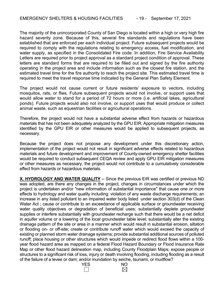The majority of the unincorporated County of San Diego is located within a high or very high fire hazard severity zone. Because of this, several fire standards and regulations have been established that are enforced per each individual project. Future subsequent projects would be required to comply with the regulations relating to emergency access, fuel modification, and water supply, as specified in the Consolidated Fire code. In addition, Fire Service Availability Letters are required prior to project approval as a standard project condition of approval. These letters are standard forms that are required to be filled out and signed by the fire authority operating in the project area and include information such as the closest fire station, and the estimated travel time for the fire authority to reach the project site. This estimated travel time is required to meet the travel response time indicated by the General Plan Safety Element.

The project would not cause current or future residents' exposure to vectors, including mosquitos, rats, or flies. Future subsequent projects would not involve, or support uses that would allow water to stand for a period of 72 hours or more (i.e. artificial lakes, agricultural ponds). Future projects would also not involve, or support uses that would produce or collect animal waste, such as equestrian facilities or agricultural operations.

Therefore, the project would not have a substantial adverse effect from hazards or hazardous materials that has not been adequately analyzed by the GPU EIR. Appropriate mitigation measures identified by the GPU EIR or other measures would be applied to subsequent projects, as necessary.

Because the project does not propose any development under this discretionary action, implementation of the project would not result in significant adverse effects related to hazardous materials and future development and improvement of County-owned emergency shelter facilities would be required to conduct subsequent CEQA review and apply GPU EIR mitigation measures or other measures as necessary, the project would not contribute to a cumulatively considerable effect from hazards or hazardous materials.

**X. HYDROLOGY AND WATER QUALITY** -- Since the previous EIR was certified or previous ND was adopted, are there any changes in the project, changes in circumstances under which the project is undertaken and/or "new information of substantial importance" that cause one or more effects to hydrology and water quality including: violation of any waste discharge requirements; an increase in any listed pollutant to an impaired water body listed under section 303(d) of the Clean Water Act ; cause or contribute to an exceedance of applicable surface or groundwater receiving water quality objectives or degradation of beneficial uses; substantially deplete groundwater supplies or interfere substantially with groundwater recharge such that there would be a net deficit in aquifer volume or a lowering of the local groundwater table level; substantially alter the existing drainage pattern of the site or area in a manner which would result in substantial erosion, siltation or flooding on- or off-site; create or contribute runoff water which would exceed the capacity of existing or planned storm water drainage systems; provide substantial additional sources of polluted runoff; place housing or other structures which would impede or redirect flood flows within a 100 year flood hazard area as mapped on a federal Flood Hazard Boundary or Flood Insurance Rate Map or other flood hazard delineation map, including County Floodplain Maps; expose people or structures to a significant risk of loss, injury or death involving flooding, including flooding as a result of the failure of a levee or dam; and/or inundation by seiche, tsunami, or mudflow?



 $\boxtimes$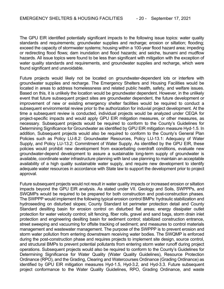The GPU EIR identified potentially significant impacts to the following issue topics: water quality standards and requirements; groundwater supplies and recharge; erosion or siltation; flooding; exceed the capacity of stormwater systems; housing within a 100-year flood hazard area; impeding or redirecting flood flows; dam inundation and flood hazards; and seiche, tsunami and mudflow hazards. All issue topics were found to be less than significant with mitigation with the exception of water quality standards and requirements, and groundwater supplies and recharge, which were found significant and unavoidable.

Future projects would likely not be located on groundwater-dependent lots or interfere with groundwater supplies and recharge. The Emergency Shelters and Housing Facilities would be located in areas to address homelessness and related public health, safety, and welfare issues. Based on this, it is unlikely the location would be groundwater dependent. However, in the unlikely event that future subsequent project sites are groundwater dependent, the future development or improvement of new or existing emergency shelter facilities would be required to conduct a subsequent environmental review prior to the authorization for induvial project development. At the time a subsequent review is conducted, individual projects would be analyzed under CEQA for project-specific impacts and would apply GPU EIR mitigation measures, or other measures, as necessary. Subsequent projects would be required to conform to the County's Guidelines for Determining Significance for Groundwater as identified by GPU EIR mitigation measure Hyd-1.5. In addition, Subsequent projects would also be required to conform to the County's General Plan Policies such as Policy LU-8.2: Groundwater Resources, Policy LU-13.1: Adequacy of Water Supply, and Policy LU-13.2: Commitment of Water Supply. As identified by the GPU EIR, these policies would prohibit new development from exacerbating overdraft conditions, evaluate new groundwater-depend development to assure a sustainable long-term supply of groundwater is available, coordinate water infrastructure planning with land use planning to maintain an acceptable availability of a high quality sustainable water supply, and require new development to identify adequate water resources in accordance with State law to support the development prior to project approval.

Future subsequent projects would not result in water quality impacts or increased erosion or siltation impacts beyond the GPU EIR analysis. As stated under VII. Geology and Soils, SWPPPs, and SWQMPs would be required to be prepared for both construction and post-construction phases. The SWPPP would implement the following typical erosion control BMPs: hydraulic stabilization and hydroseeding on disturbed slopes; County Standard lot perimeter protection detail and County Standard desilting basin for erosion control on disturbed flat areas; energy dissipater outlet protection for water velocity control; silt fencing, fiber rolls, gravel and sand bags, storm drain inlet protection and engineering desilting basin for sediment control; stabilized construction entrance, street sweeping and vacuuming for offsite tracking of sediment; and measures to control materials management and wastewater management. The purpose of the SWPPP is to prevent erosion and storm water pollution from entering downstream receiving water bodies. The SWQMP is enforced during the post-construction phase and requires projects to implement site design, source control, and structural BMPs to prevent potential pollutants from entering storm water runoff during project operations. Subsequent projects would also be required to conform to the County's Guidelines for Determining Significance for Water Quality (Water Quality Guidelines), Resource Protection Ordinance (RPO), and the Grading, Clearing and Watercourses Ordinance (Grading Ordinance) as identified by GPU EIR mitigation measures Hyd-1.5, Hyd-3.2, and Hyd-3.3. Future subsequent project conformance to the Water Quality Guidelines, RPO, Grading Ordinance, and waste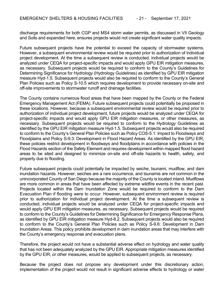discharge requirements for both CGP and MS4 storm water permits, as discussed in VII Geology and Soils and expanded here, ensures projects would not create significant water quality impacts.

Future subsequent projects have the potential to exceed the capacity of stormwater systems. However, a subsequent environmental review would be required prior to authorization of individual project development. At the time a subsequent review is conducted, individual projects would be analyzed under CEQA for project-specific impacts and would apply GPU EIR mitigation measures, as necessary. Subsequent projects would be required to conform to the County's Guidelines for Determining Significance for Hydrology (Hydrology Guidelines) as identified by GPU EIR mitigation measure Hyd-1.5. Subsequent projects would also be required to conform to the County's General Plan Policies such as Policy S-10.5 which requires development to provide necessary on-site and off-site improvements to stormwater runoff and drainage facilities.

The County contains numerous flood areas that have been mapped by the County or the Federal Emergency Management Act (FEMA). Future subsequent projects could potentially be proposed in these locations. However, because a subsequent environmental review would be required prior to authorization of individual project development, future projects would be analyzed under CEQA for project-specific impacts and would apply GPU EIR mitigation measures, or other measures, as necessary. Subsequent projects would be required to conform to the Hydrology Guidelines as identified by the GPU EIR mitigation measure Hyd-1.5. Subsequent projects would also be required to conform to the County's General Plan Policies such as Policy COS-5.1: Impact to Floodways and Floodplains and Policy S-9.3: Development in Flood Hazard Areas. As identified by the GPU EIR, these policies restrict development in floodways and floodplains in accordance with policies in the Flood Hazards section of the Safety Element and requires development within mapped flood hazard areas to be sited and designed to minimize on-site and off-site hazards to health, safety, and property due to flooding.

Future subsequent projects could potentially be impacted by seiche, tsunami, mudflow, and dam inundation hazards. However, seiches are a rare occurrence, and tsunamis are not common in the unincorporated County of San Diego because the majority of the County is located inland. Mudflows are more common in areas that have been affected by extreme wildfire events in the recent past. Projects located within the Dam Inundation Zone would be required to conform to the Dam Evacuation Plan if flooding were to occur. However, subsequent environment review is required prior to authorization for individual project development. At the time a subsequent review is conducted, individual projects would be analyzed under CEQA for project-specific impacts and would apply GPU EIR mitigation measures, as necessary. Subsequent projects would be required to conform to the County's Guidelines for Determining Significance for Emergency Response Plans, as identified by GPU EIR mitigation measure Hyd-8.2. Subsequent projects would also be required to conform to the County's General Plan Policies such as Policy S-9.6: Development in Dam Inundation Areas. This policy prohibits development in dam inundation areas that may interfere with the County's emergency response and evacuation plans.

Therefore, the project would not have a substantial adverse effect on hydrology and water quality that has not been adequately analyzed by the GPU EIR. Appropriate mitigation measures identified by the GPU EIR, or other measures, would be applied to subsequent projects, as necessary.

Because the project does not propose any development under this discretionary action, implementation of the project would not result in significant adverse effects to hydrology or water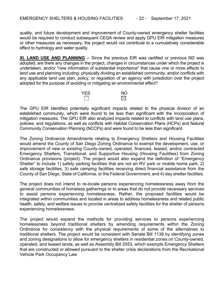quality, and future development and improvement of County-owned emergency shelter facilities would be required to conduct subsequent CEQA review and apply GPU EIR mitigation measures or other measures as necessary, the project would not contribute to a cumulatively considerable effect to hydrology and water quality.

**XI. LAND USE AND PLANNING** -- Since the previous EIR was certified or previous ND was adopted, are there any changes in the project, changes in circumstances under which the project is undertaken, and/or "new information of substantial importance" that cause one or more effects to land use and planning including: physically dividing an established community; and/or conflicts with any applicable land use plan, policy, or regulation of an agency with jurisdiction over the project adopted for the purpose of avoiding or mitigating an environmental effect?



The GPU EIR identified potentially significant impacts related to the physical division of an established community, which were found to be less than significant with the incorporation of mitigation measures. The GPU EIR also analyzed impacts related to conflicts with land use plans, policies, and regulations, as well as conflicts with Habitat Conservation Plans (HCPs) and Natural Community Conservation Planning (NCCPs) and were found to be less than significant.

The Zoning Ordinance Amendments relating to Emergency Shelters and Housing Facilities would amend the County of San Diego Zoning Ordinance to exempt the development, use, or improvement of new or existing County-owned, operated, financed, leased, and/or contracted Emergency Shelters, Transitional, and Supportive Housing (Housing Facilities) from Zoning Ordinance provisions (project). The project would also expand the definition of "Emergency Shelter" to include 1) safety parking facilities that are not an RV park or mobile home park, 2) safe storage facilities, 3) safe camping facilities receiving direct financial assistance from the County of San Diego, State of California, or the Federal Government, and 4) day shelter facilities.

The project does not intend to re-locate persons experiencing homelessness away from the general communities of homeless gatherings or to areas that do not provide necessary services to assist persons experiencing homelessness. Rather, the proposed facilities would be integrated within communities and located in areas to address homelessness and related public health, safety, and welfare issues to provide centralized safety facilities for the shelter of persons experiencing homelessness.

The project would expand the methods for providing services to persons experiencing homelessness beyond traditional shelters by amending requirements within the Zoning Ordinance for consistency with the physical requirements of some of the alternatives to traditional shelters. The project would be consistent with Senate Bill 1138 by identifying zones and zoning designations to allow for emergency shelters in residential zones on County-owned, operated, and leased lands, as well as Assembly Bill 2553, which exempts Emergency Shelters that are constructed or allowed pursuant to the shelter crisis declarations from the Recreational Vehicle Park Occupancy Law.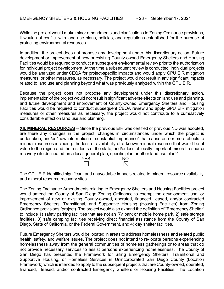While the project would make minor amendments and clarifications to Zoning Ordinance provisions, it would not conflict with land use plans, policies, and regulations established for the purpose of protecting environmental resources.

In addition, the project does not propose any development under this discretionary action. Future development or improvement of new or existing County-owned Emergency Shelters and Housing Facilities would be required to conduct a subsequent environmental review prior to the authorization for individual project development. At the time a subsequent review is conducted, individual projects would be analyzed under CEQA for project-specific impacts and would apply GPU EIR mitigation measures, or other measures, as necessary. The project would not result in any significant impacts related to land use and planning beyond what was previously analyzed within the GPU EIR.

Because the project does not propose any development under this discretionary action, implementation of the project would not result in significant adverse effects on land use and planning, and future development and improvement of County-owned Emergency Shelters and Housing Facilities would be required to conduct subsequent CEQA review and apply GPU EIR mitigation measures or other measures as necessary, the project would not contribute to a cumulatively considerable effect on land use and planning.

**XII. MINERAL RESOURCES** -- Since the previous EIR was certified or previous ND was adopted, are there any changes in the project, changes in circumstances under which the project is undertaken, and/or "new information of substantial importance" that cause one or more effects to mineral resources including: the loss of availability of a known mineral resource that would be of value to the region and the residents of the state; and/or loss of locally-important mineral resource recovery site delineated on a local general plan, specific plan or other land use plan?

| <b>YES</b> | <b>NO</b>            |
|------------|----------------------|
|            | $\triangleleft$<br>√ |

The GPU EIR identified significant and unavoidable impacts related to mineral resource availability and mineral resource recovery sites.

The Zoning Ordinance Amendments relating to Emergency Shelters and Housing Facilities project would amend the County of San Diego Zoning Ordinance to exempt the development, use, or improvement of new or existing County-owned, operated, financed, leased, and/or contracted Emergency Shelters, Transitional, and Supportive Housing (Housing Facilities) from Zoning Ordinance provisions (project). The project would also expand the definition of "Emergency Shelter" to include 1) safety parking facilities that are not an RV park or mobile home park, 2) safe storage facilities, 3) safe camping facilities receiving direct financial assistance from the County of San Diego, State of California, or the Federal Government, and 4) day shelter facilities.

Future Emergency Shelters would be located in areas to address homelessness and related public health, safety, and welfare issues. The project does not intend to re-locate persons experiencing homelessness away from the general communities of homeless gatherings or to areas that do not provide necessary services to assist persons experiencing homelessness. The County of San Diego has presented the Framework for Siting Emergency Shelters, Transitional and Supportive Housing, or Homeless Services in Unincorporated San Diego County (Location Framework) which is intended to apply to the subsequent projects that are County-owned, operated, financed, leased, and/or contracted Emergency Shelters or Housing Facilities. The Location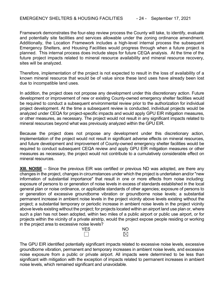Framework demonstrates the four-step review process the County will take, to identify, evaluate and potentially site facilities and services allowable under the zoning ordinance amendment. Additionally, the Location Framework includes a high-level internal process the subsequent Emergency Shelters, and Housing Facilities would progress through when a future project is planned. This internal process does include steps for future CEQA analysis. At the time of the future project impacts related to mineral resource availability and mineral resource recovery, sites will be analyzed.

Therefore, implementation of the project is not expected to result in the loss of availability of a known mineral resource that would be of value since these land uses have already been lost due to incompatible land uses.

In addition, the project does not propose any development under this discretionary action. Future development or improvement of new or existing County-owned emergency shelter facilities would be required to conduct a subsequent environmental review prior to the authorization for individual project development. At the time a subsequent review is conducted, individual projects would be analyzed under CEQA for project-specific impacts and would apply GPU EIR mitigation measures, or other measures, as necessary. The project would not result in any significant impacts related to mineral resources beyond what was previously analyzed within the GPU EIR.

Because the project does not propose any development under this discretionary action, implementation of the project would not result in significant adverse effects on mineral resources, and future development and improvement of County-owned emergency shelter facilities would be required to conduct subsequent CEQA review and apply GPU EIR mitigation measures or other measures as necessary, the project would not contribute to a cumulatively considerable effect on mineral resources.

**XIII. NOISE** -- Since the previous EIR was certified or previous ND was adopted, are there any changes in the project, changes in circumstances under which the project is undertaken and/or "new information of substantial importance" that result in one or more effects from noise including: exposure of persons to or generation of noise levels in excess of standards established in the local general plan or noise ordinance, or applicable standards of other agencies; exposure of persons to or generation of excessive groundborne vibration or groundborne noise levels; a substantial permanent increase in ambient noise levels in the project vicinity above levels existing without the project; a substantial temporary or periodic increase in ambient noise levels in the project vicinity above levels existing without the project; for projects located within an airport land use plan or, where such a plan has not been adopted, within two miles of a public airport or public use airport, or for projects within the vicinity of a private airstrip, would the project expose people residing or working in the project area to excessive noise levels?



The GPU EIR identified potentially significant impacts related to excessive noise levels, excessive groundborne vibration, permanent and temporary increases in ambient noise levels, and excessive noise exposure from a public or private airport. All impacts were determined to be less than significant with mitigation with the exception of impacts related to permanent increases in ambient noise levels, which remained significant and unavoidable.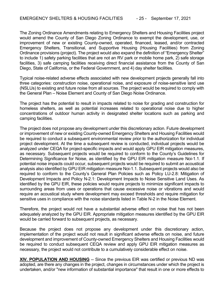The Zoning Ordinance Amendments relating to Emergency Shelters and Housing Facilities project would amend the County of San Diego Zoning Ordinance to exempt the development, use, or improvement of new or existing County-owned, operated, financed, leased, and/or contracted Emergency Shelters, Transitional, and Supportive Housing (Housing Facilities) from Zoning Ordinance provisions (project). The project would also expand the definition of "Emergency Shelter" to include 1) safety parking facilities that are not an RV park or mobile home park, 2) safe storage facilities, 3) safe camping facilities receiving direct financial assistance from the County of San Diego, State of California, or the Federal Government, and 4) day shelter facilities.

Typical noise-related adverse effects associated with new development projects generally fall into three categories: construction noise, operational noise, and exposure of noise-sensitive land use (NSLUs) to existing and future noise from all sources. The project would be required to comply with the General Plan – Noise Element and County of San Diego Noise Ordinance.

The project has the potential to result in impacts related to noise for grading and construction for homeless shelters, as well as potential increases related to operational noise due to higher concentrations of outdoor human activity in designated shelter locations such as parking and camping facilities.

The project does not propose any development under this discretionary action. Future development or improvement of new or existing County-owned Emergency Shelters and Housing Facilities would be required to conduct a subsequent environmental review prior to the authorization for individual project development. At the time a subsequent review is conducted, individual projects would be analyzed under CEQA for project-specific impacts and would apply GPU EIR mitigation measures, as necessary. Subsequent projects would be required to conform to the County's Guidelines for Determining Significance for Noise, as identified by the GPU EIR mitigation measure Noi-1.1. If potential noise impacts could occur, subsequent projects would be required to submit an acoustical analysis also identified by GPU EIR mitigation measure Noi-1.1. Subsequent projects would also be required to conform to the County's General Plan Policies such as Policy LU-2.8: Mitigation of Development Impacts and Policy N-2.1: Development Impacts to Noise Sensitive Land Uses. As identified by the GPU EIR, these policies would require projects to minimize significant impacts to surrounding areas from uses or operations that cause excessive noise or vibrations and would require an acoustical study where development may exceed thresholds and require mitigation for sensitive uses in compliance with the noise standards listed in Table N-2 in the Noise Element.

Therefore, the project would not have a substantial adverse effect on noise that has not been adequately analyzed by the GPU EIR. Appropriate mitigation measures identified by the GPU EIR would be carried forward to subsequent projects, as necessary.

Because the project does not propose any development under this discretionary action, implementation of the project would not result in significant adverse effects on noise, and future development and improvement of County-owned Emergency Shelters and Housing Facilities would be required to conduct subsequent CEQA review and apply GPU EIR mitigation measures as necessary, the project would not contribute to a cumulatively considerable effect on noise.

**XIV. POPULATION AND HOUSING** -- Since the previous EIR was certified or previous ND was adopted, are there any changes in the project, changes in circumstances under which the project is undertaken, and/or "new information of substantial importance" that result in one or more effects to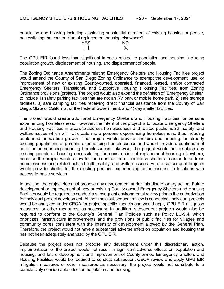population and housing including displacing substantial numbers of existing housing or people, necessitating the construction of replacement housing elsewhere?

| <b>YES</b> | <b>NO</b>           |
|------------|---------------------|
|            | $\overline{\times}$ |

The GPU EIR found less than significant impacts related to population and housing, including population growth, displacement of housing, and displacement of people.

The Zoning Ordinance Amendments relating Emergency Shelters and Housing Facilities project would amend the County of San Diego Zoning Ordinance to exempt the development, use, or improvement of new or existing County-owned, operated, financed, leased, and/or contracted Emergency Shelters, Transitional, and Supportive Housing (Housing Facilities) from Zoning Ordinance provisions (project). The project would also expand the definition of "Emergency Shelter" to include 1) safety parking facilities that are not an RV park or mobile home park, 2) safe storage facilities, 3) safe camping facilities receiving direct financial assistance from the County of San Diego, State of California, or the Federal Government, and 4) day shelter facilities.

The project would create additional Emergency Shelters and Housing Facilities for persons experiencing homelessness. However, the intent of the project is to locate Emergency Shelters and Housing Facilities in areas to address homelessness and related public health, safety, and welfare issues which will not create more persons experiencing homelessness, thus inducing unplanned population growth. The project would provide shelters and housing for already existing populations of persons experiencing homelessness and would provide a continuum of care for persons experiencing homelessness. Likewise, the project would not displace any existing people or housing necessitating the construction of replacement housing elsewhere, because the project would allow for the construction of homeless shelters in areas to address homelessness and related public health, safety, and welfare issues. Future subsequent projects would provide shelter for the existing persons experiencing homelessness in locations with access to basic services.

In addition, the project does not propose any development under this discretionary action. Future development or improvement of new or existing County-owned Emergency Shelters and Housing Facilities would be required to conduct a subsequent environmental review prior to the authorization for individual project development. At the time a subsequent review is conducted, individual projects would be analyzed under CEQA for project-specific impacts and would apply GPU EIR mitigation measures, or other measures, as necessary. In addition, subsequent projects would also be required to conform to the County's General Plan Policies such as Policy LU-9.4, which prioritizes infrastructure improvements and the provisions of public facilities for villages and community cores consistent with the intensity of development allowed by the General Plan. Therefore, the project would not have a substantial adverse effect on population and housing that has not been adequately analyzed by the GPU EIR.

Because the project does not propose any development under this discretionary action, implementation of the project would not result in significant adverse effects on population and housing, and future development and improvement of County-owned Emergency Shelters and Housing Facilities would be required to conduct subsequent CEQA review and apply GPU EIR mitigation measures or other measures as necessary, the project would not contribute to a cumulatively considerable effect on population and housing.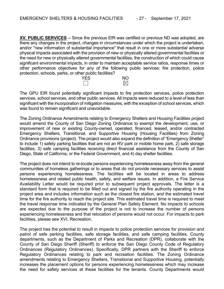**XV. PUBLIC SERVICES** -- Since the previous EIR was certified or previous ND was adopted, are there any changes in the project, changes in circumstances under which the project is undertaken, and/or "new information of substantial importance" that result in one or more substantial adverse physical impacts associated with the provision of new or physically altered governmental facilities or the need for new or physically altered governmental facilities, the construction of which could cause significant environmental impacts, in order to maintain acceptable service ratios, response times or other performance objectives for any of the following public services: fire protection, police protection, schools, parks, or other public facilities?

| <b>YES</b> | <b>NO</b>                |
|------------|--------------------------|
|            | $\overline{\phantom{a}}$ |

The GPU EIR found potentially significant impacts to fire protection services, police protection services, school services, and other public services. All impacts were reduced to a level of less than significant with the incorporation of mitigation measures, with the exception of school services, which was found to remain significant and unavoidable.

The Zoning Ordinance Amendments relating to Emergency Shelters and Housing Facilities project would amend the County of San Diego Zoning Ordinance to exempt the development, use, or improvement of new or existing County-owned, operated, financed, leased, and/or contracted Emergency Shelters, Transitional, and Supportive Housing (Housing Facilities) from Zoning Ordinance provisions (project). The project would also expand the definition of "Emergency Shelter" to include 1) safety parking facilities that are not an RV park or mobile home park, 2) safe storage facilities, 3) safe camping facilities receiving direct financial assistance from the County of San Diego, State of California, or the Federal Government, and 4) day shelter facilities.

The project does not intend to re-locate persons experiencing homelessness away from the general communities of homeless gatherings or to areas that do not provide necessary services to assist persons experiencing homelessness. The facilities will be located in areas to address homelessness and related public health, safety, and welfare issues. In addition, a Fire Service Availability Letter would be required prior to subsequent project approvals. The letter is a standard form that is required to be filled out and signed by the fire authority operating in the project area and includes information such as the closest fire station, and the estimated travel time for the fire authority to reach the project site. This estimated travel time is required to meet the travel response time indicated by the General Plan Safety Element. No impacts to schools are expected due to the purpose of the project is not to increase the number of persons experiencing homelessness and that relocation of persons would not occur. For impacts to park facilities, please see XVI. Recreation.

The project has the potential to result in impacts to police protection services for provision and patrol of safe parking facilities, safe storage facilities, and safe camping facilities. County departments, such as the Department of Parks and Recreation (DPR), collaborate with the County of San Diego Sheriff (Sheriff) to enforce the San Diego County Code of Regulatory Ordinances (Regulatory Ordinances). Specifically, DPR partners with the Sheriff to enforce Regulatory Ordinances relating to park and recreation facilities. The Zoning Ordinance amendments relating to Emergency Shelters, Transitional and Supportive Housing, potentially increases the placement options for persons experiencing homelessness which may increase the need for safety services at these facilities for the tenants. County Departments would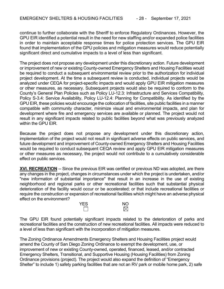continue to further collaborate with the Sheriff to enforce Regulatory Ordinances. However, the GPU EIR identified a potential result in the need for new staffing and/or expanded police facilities in order to maintain acceptable response times for police protection services. The GPU EIR found that implementation of the GPU policies and mitigation measures would reduce potentially significant direct and cumulative impacts to a level of less than significant.

The project does not propose any development under this discretionary action. Future development or improvement of new or existing County-owned Emergency Shelters and Housing Facilities would be required to conduct a subsequent environmental review prior to the authorization for individual project development. At the time a subsequent review is conducted, individual projects would be analyzed under CEQA for project-specific impacts and would apply GPU EIR mitigation measures or other measures, as necessary. Subsequent projects would also be required to conform to the County's General Plan Policies such as Policy LU-12.3: Infrastructure and Services Compatibility, Policy S-3.4: Service Availability, Policy LU-12.4: Planning for Compatibility. As identified by the GPU EIR, these policies would encourage the collocation of facilities, site public facilities in a manner compatible with community character, minimize visual and environmental impacts, and plan for development where fire and emergency services are available or planned. The project would not result in any significant impacts related to public facilities beyond what was previously analyzed within the GPU EIR.

Because the project does not propose any development under this discretionary action, implementation of the project would not result in significant adverse effects on public services, and future development and improvement of County-owned Emergency Shelters and Housing Facilities would be required to conduct subsequent CEQA review and apply GPU EIR mitigation measures or other measures as necessary, the project would not contribute to a cumulatively considerable effect on public services.

**XVI. RECREATION** -- Since the previous EIR was certified or previous ND was adopted, are there any changes in the project, changes in circumstances under which the project is undertaken, and/or "new information of substantial importance" that result in an increase in the use of existing neighborhood and regional parks or other recreational facilities such that substantial physical deterioration of the facility would occur or be accelerated; or that include recreational facilities or require the construction or expansion of recreational facilities which might have an adverse physical effect on the environment?



The GPU EIR found potentially significant impacts related to the deterioration of parks and recreational facilities and the construction of new recreational facilities. All impacts were reduced to a level of less than significant with the incorporation of mitigation measures.

The Zoning Ordinance Amendments Emergency Shelters and Housing Facilities project would amend the County of San Diego Zoning Ordinance to exempt the development, use, or improvement of new or existing County-owned, operated, financed, leased, and/or contracted Emergency Shelters, Transitional, and Supportive Housing (Housing Facilities) from Zoning Ordinance provisions (project). The project would also expand the definition of "Emergency Shelter" to include 1) safety parking facilities that are not an RV park or mobile home park, 2) safe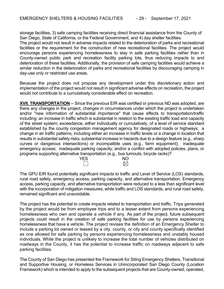storage facilities, 3) safe camping facilities receiving direct financial assistance from the County of San Diego, State of California, or the Federal Government, and 4) day shelter facilities.

The project would not result in adverse impacts related to the deterioration of parks and recreational facilities or the requirement for the construction of new recreational facilities. The project would encourage persons experiencing homelessness to stay in safe parking facilities rather than in County-owned public park and recreation facility parking lots, thus reducing impacts to and deterioration of these facilities. Additionally, the provision of safe camping facilities would achieve a similar reduction in the deterioration of parks and recreational facilities by discouraging camping in day-use only or restricted use areas.

Because the project does not propose any development under this discretionary action and implementation of the project would not result in significant adverse effects on recreation, the project would not contribute to a cumulatively considerable effect on recreation.

**XVII. TRANSPORTATION** -- Since the previous EIR was certified or previous ND was adopted, are there any changes in the project, changes in circumstances under which the project is undertaken and/or "new information of substantial importance" that cause effects to transportation/traffic including: an increase in traffic which is substantial in relation to the existing traffic load and capacity of the street system; exceedance, either individually or cumulatively, of a level of service standard established by the county congestion management agency for designated roads or highways; a change in air traffic patterns, including either an increase in traffic levels or a change in location that results in substantial safety risks; substantial increase in hazards due to a design feature (e.g., sharp curves or dangerous intersections) or incompatible uses (e.g., farm equipment); inadequate emergency access; inadequate parking capacity; and/or a conflict with adopted policies, plans, or programs supporting alternative transportation (e.g., bus turnouts, bicycle racks)?

| <b>YES</b> | ΝO              |
|------------|-----------------|
|            | $\triangleleft$ |

The GPU EIR found potentially significant impacts to traffic and Level of Service (LOS) standards, rural road safety, emergency access, parking capacity, and alternative transportation. Emergency access, parking capacity, and alternative transportation were reduced to a less than significant level with the incorporation of mitigation measures, while traffic and LOS standards, and rural road safety, remained significant and unavoidable.

The project has the potential to create impacts related to transportation and traffic. Trips generated by the project would be from employee trips and to a lesser extent from persons experiencing homelessness who own and operate a vehicle if any. As part of the project, future subsequent projects could result in the creation of safe parking facilities for use by persons experiencing homelessness that have a vehicle. The project revises the definition of an Emergency Shelter to include a parking lot owned or leased by a city, county, or city and county specifically identified as one allowed for safe parking by persons experiencing homelessness and unstably housed individuals. While the project is unlikely to increase the total number of vehicles distributed on roadways in the County, it has the potential to increase traffic on roadways adjacent to safe parking facilities.

The County of San Diego has presented the Framework for Siting Emergency Shelters, Transitional and Supportive Housing, or Homeless Services in Unincorporated San Diego County (Location Framework) which is intended to apply to the subsequent projects that are County-owned, operated,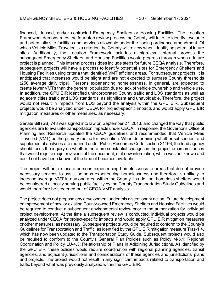financed, leased, and/or contracted Emergency Shelters or Housing Facilities. The Location Framework demonstrates the four-step review process the County will take, to identify, evaluate and potentially site facilities and services allowable under the zoning ordinance amendment. Of which Vehicle Miles Traveled is a criterion the County will review when identifying potential future sites. Additionally, the Location Framework includes a high-level internal process the subsequent Emergency Shelters, and Housing Facilities would progress through when a future project is planned. This internal process does include steps for future CEQA analysis. Therefore, subsequent projects will have a process to identify potential sites for Emergency Shelters and Housing Facilities using criteria that identified VMT efficient areas. For subsequent projects, it is anticipated that increases would be slight and are not expected to surpass County thresholds (250 average daily trips). Persons experiencing homelessness, in general, are expected to create fewer VMTs than the general population due to lack of vehicle ownership and vehicle use. In addition, the GPU EIR identified unincorporated County traffic and LOS standards as well as adjacent cities traffic and LOS standards, as significant and unavoidable. Therefore, the project would not result in impacts from LOS beyond the analysis within the GPU EIR. Subsequent projects would be analyzed under CEQA for project-specific impacts and would apply GPU EIR mitigation measures or other measures, as necessary.

Senate Bill (SB) 743 was signed into law on September 27, 2013, and changed the way that public agencies are to evaluate transportation impacts under CEQA. In response, the Governor's Office of Planning and Research updated the CEQA guidelines and recommended that Vehicle Miles Travelled (VMT) be the primary metric for evaluation. When determining whether subsequent and supplemental analyses are required under Public Resources Code section 21166, the lead agency should focus the inquiry on whether there are substantial changes in the project or circumstances that would require major revisions of the document, or if new information, which was not known and could not have been known at the time of becomes available.

The project will not re-locate persons experiencing homelessness to areas that do not provide necessary services to assist persons experiencing homelessness and therefore is unlikely to increase average VMT in any one area within the County. In addition, homeless shelters would be considered a locally serving public facility by the County Transportation Study Guidelines and would therefore be screened out of CEQA VMT analysis.

The project does not propose any development under this discretionary action. Future development or improvement of new or existing County-owned Emergency Shelters and Housing Facilities would be required to conduct a subsequent environmental review prior to the authorization for individual project development. At the time a subsequent review is conducted, individual projects would be analyzed under CEQA for project-specific impacts and would apply GPU EIR mitigation measures or other measures, as necessary. Subsequent projects would be required to conform to the County's Guidelines for Transportation and Traffic, as identified by the GPU EIR mitigation measure Tras-1.4, which has now been updated to the Transportation Study Guide. Subsequent projects would also be required to conform to the County's General Plan Policies such as Policy M-5.1: Regional Coordination and Policy LU-4.3: Relationship of Plans in Adjoining Jurisdictions**.** As identified by the GPU EIR, these policies would require coordination with regional planning agencies, transit agencies, and adjacent jurisdictions and considerations of these agencies and jurisdictions' plans and projects. The project would not result in any significant impacts related to transportation and traffic beyond what was previously analyzed within the GPU EIR.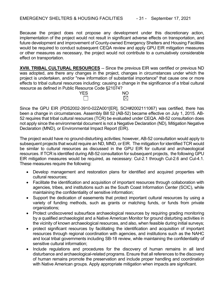Because the project does not propose any development under this discretionary action, implementation of the project would not result in significant adverse effects on transportation, and future development and improvement of County-owned Emergency Shelters and Housing Facilities would be required to conduct subsequent CEQA review and apply GPU EIR mitigation measures or other measures as necessary, the project would not contribute to a cumulatively considerable effect on transportation.

**XVIII. TRIBAL CULTURAL RESOURCES** -- Since the previous EIR was certified or previous ND was adopted, are there any changes in the project, changes in circumstances under which the project is undertaken, and/or "new information of substantial importance" that cause one or more effects to tribal cultural resources including: causing a change in the significance of a tribal cultural resource as defined in Public Resource Code §21074?

| ---- | YFS | NIC |
|------|-----|-----|
|      |     |     |

Since the GPU EIR (PDS2002-3910-02ZA001[ER], SCH#2002111067) was certified, there has been a change in circumstances. Assembly Bill 52 (AB-52) became effective on July 1, 2015. AB-52 requires that tribal cultural resources (TCR) be evaluated under CEQA. AB-52 consultation does not apply since the environmental document is not a Negative Declaration (ND), Mitigation Negative Declaration (MND), or Environmental Impact Report (EIR).

The project would have no ground-disturbing activities; however, AB-52 consultation would apply to subsequent projects that would require an ND, MND, or EIR. The mitigation for identified TCR would be similar to cultural resources as discussed in the GPU EIR for cultural and archaeological resources. If TCR is identified during AB-52 consultation for subsequent projects, the following GPU EIR mitigation measures would be required, as necessary: Cul-2.1 through Cul-2.6 and Cul-4.1. These measures require the following:

- Develop management and restoration plans for identified and acquired properties with cultural resources;
- Facilitate the identification and acquisition of important resources through collaboration with agencies, tribes, and institutions such as the South Coast Information Center (SCIC), while maintaining the confidentiality of sensitive information;
- Support the dedication of easements that protect important cultural resources by using a variety of funding methods, such as grants or matching funds, or funds from private organizations;
- Protect undiscovered subsurface archaeological resources by requiring grading monitoring by a qualified archaeologist and a Native American Monitor for ground disturbing activities in the vicinity of known archaeological resources, and also, when feasible during initial surveys;
- protect significant resources by facilitating the identification and acquisition of important resources through regional coordination with agencies, and institutions such as the NAHC and local tribal governments including SB-18 review, while maintaining the confidentiality of sensitive cultural information;
- Include regulations and procedures for the discovery of human remains in all land disturbance and archaeological-related programs. Ensure that all references to the discovery of human remains promote the preservation and include proper handling and coordination with Native American groups. Apply appropriate mitigation when impacts are significant.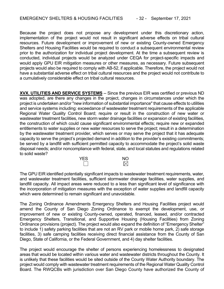Because the project does not propose any development under this discretionary action, implementation of the project would not result in significant adverse effects on tribal cultural resources. Future development or improvement of new or existing County-owned Emergency Shelters and Housing Facilities would be required to conduct a subsequent environmental review prior to the authorization for individual project development. At the time a subsequent review is conducted, individual projects would be analyzed under CEQA for project-specific impacts and would apply GPU EIR mitigation measures or other measures, as necessary. Future subsequent projects would also be required to comply with AB-52, if applicable. Therefore, the project would not have a substantial adverse effect on tribal cultural resources and the project would not contribute to a cumulatively considerable effect on tribal cultural resources.

**XVX. UTILITIES AND SERVICE SYSTEMS** -- Since the previous EIR was certified or previous ND was adopted, are there any changes in the project, changes in circumstances under which the project is undertaken and/or "new information of substantial importance" that cause effects to utilities and service systems including: exceedance of wastewater treatment requirements of the applicable Regional Water Quality Control Board; require or result in the construction of new water or wastewater treatment facilities, new storm water drainage facilities or expansion of existing facilities, the construction of which could cause significant environmental effects; require new or expanded entitlements to water supplies or new water resources to serve the project; result in a determination by the wastewater treatment provider, which serves or may serve the project that it has adequate capacity to serve the project's projected demand in addition to the provider's existing commitments; be served by a landfill with sufficient permitted capacity to accommodate the project's solid waste disposal needs; and/or noncompliance with federal, state, and local statutes and regulations related to solid waste?



The GPU EIR identified potentially significant impacts to wastewater treatment requirements, water, and wastewater treatment facilities, sufficient stormwater drainage facilities, water supplies, and landfill capacity. All impact areas were reduced to a less than significant level of significance with the incorporation of mitigation measures with the exception of water supplies and landfill capacity which were determined to remain significant and unavoidable.

The Zoning Ordinance Amendments Emergency Shelters and Housing Facilities project would amend the County of San Diego Zoning Ordinance to exempt the development, use, or improvement of new or existing County-owned, operated, financed, leased, and/or contracted Emergency Shelters, Transitional, and Supportive Housing (Housing Facilities) from Zoning Ordinance provisions (project). The project would also expand the definition of "Emergency Shelter" to include 1) safety parking facilities that are not an RV park or mobile home park, 2) safe storage facilities, 3) safe camping facilities receiving direct financial assistance from the County of San Diego, State of California, or the Federal Government, and 4) day shelter facilities.

The project would encourage the shelter of persons experiencing homelessness to designated areas that would be located within various water and wastewater districts throughout the County. It is unlikely that these facilities would be sited outside of the County Water Authority boundary. The project would comply with wastewater treatment requirements of the Regional Water Quality Control Board. The RWQCBs with jurisdiction over San Diego County have authorized the County of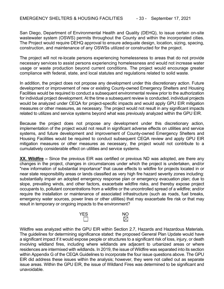San Diego, Department of Environmental Health and Quality (DEHQ), to issue certain on-site wastewater system (OSWS) permits throughout the County and within the incorporated cities. The Project would require DEHQ approval to ensure adequate design, location, sizing, spacing, construction, and maintenance of any OSWSs utilized or constructed for the project.

The project will not re-locate persons experiencing homelessness to areas that do not provide necessary services to assist persons experiencing homelessness and would not increase water usage or waste production beyond current conditions. The project would encourage greater compliance with federal, state, and local statutes and regulations related to solid waste.

In addition, the project does not propose any development under this discretionary action. Future development or improvement of new or existing County-owned Emergency Shelters and Housing Facilities would be required to conduct a subsequent environmental review prior to the authorization for individual project development. At the time a subsequent review is conducted, individual projects would be analyzed under CEQA for project-specific impacts and would apply GPU EIR mitigation measures or other measures, as necessary. The project would not result in any significant impacts related to utilizes and service systems beyond what was previously analyzed within the GPU EIR.

Because the project does not propose any development under this discretionary action, implementation of the project would not result in significant adverse effects on utilities and service systems, and future development and improvement of County-owned Emergency Shelters and Housing Facilities would be required to conduct subsequent CEQA review and apply GPU EIR mitigation measures or other measures as necessary, the project would not contribute to a cumulatively considerable effect on utilities and service systems.

**XX. Wildfire –** Since the previous EIR was certified or previous ND was adopted, are there any changes in the project, changes in circumstances under which the project is undertaken, and/or "new information of substantial importance" that cause effects to wildfire for projects located in or near state responsibility areas or lands classified as very high fire hazard severity zones including: substantially impair an adopted emergency response plan or emergency evacuation plan; due to slope, prevailing winds, and other factors, exacerbate wildfire risks, and thereby expose project occupants to, pollutant concentrations from a wildfire or the uncontrolled spread of a wildfire; and/or require the installation or maintenance of associated infrastructure (such as roads, fuel breaks, emergency water sources, power lines or other utilities) that may exacerbate fire risk or that may result in temporary or ongoing impacts to the environment?



Wildfire was analyzed within the GPU EIR within Section 2.7, Hazards and Hazardous Materials. The guidelines for determining significance stated: the proposed General Plan Update would have a significant impact if it would expose people or structures to a significant risk of loss, injury, or death involving wildland fires, including where wildlands are adjacent to urbanized areas or where residences are intermixed with wildlands. In 2019, the issue of Wildfire was separated into its section within Appendix G of the CEQA Guidelines to incorporate the four issue questions above. The GPU EIR did address these issues within the analysis; however, they were not called out as separate issue areas. Within the GPU EIR, the issue of Wildland Fires was determined to be significant and unavoidable.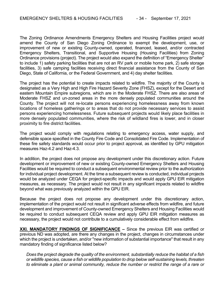The Zoning Ordinance Amendments Emergency Shelters and Housing Facilities project would amend the County of San Diego Zoning Ordinance to exempt the development, use, or improvement of new or existing County-owned, operated, financed, leased, and/or contracted Emergency Shelters, Transitional, and Supportive Housing (Housing Facilities) from Zoning Ordinance provisions (project). The project would also expand the definition of "Emergency Shelter" to include 1) safety parking facilities that are not an RV park or mobile home park, 2) safe storage facilities, 3) safe camping facilities receiving direct financial assistance from the County of San Diego, State of California, or the Federal Government, and 4) day shelter facilities.

The project has the potential to create impacts related to wildfire. The majority of the County is designated as a Very High and High Fire Hazard Severity Zone (FHSZ), except for the Desert and eastern Mountain Empire subregions, which are in the Moderate FHSZ. There are also areas of Moderate FHSZ and un-zoned areas in the more densely populated communities around the County. The project will not re-locate persons experiencing homelessness away from known locations of homeless gatherings or to areas that do not provide necessary services to assist persons experiencing homelessness. Future subsequent projects would likely place facilities in more densely populated communities, where the risk of wildland fires is lower, and in closer proximity to fire district facilities.

The project would comply with regulations relating to emergency access, water supply, and defensible space specified in the County Fire Code and Consolidated Fire Code. Implementation of these fire safety standards would occur prior to project approval, as identified by GPU mitigation measures Haz-4.2 and Haz-4.3.

In addition, the project does not propose any development under this discretionary action. Future development or improvement of new or existing County-owned Emergency Shelters and Housing Facilities would be required to conduct a subsequent environmental review prior to the authorization for individual project development. At the time a subsequent review is conducted, individual projects would be analyzed under CEQA for project-specific impacts and would apply GPU EIR mitigation measures, as necessary. The project would not result in any significant impacts related to wildfire beyond what was previously analyzed within the GPU EIR.

Because the project does not propose any development under this discretionary action, implementation of the project would not result in significant adverse effects from wildfire, and future development and improvement of County-owned Emergency Shelters and Housing Facilities would be required to conduct subsequent CEQA review and apply GPU EIR mitigation measures as necessary, the project would not contribute to a cumulatively considerable effect from wildfire.

**XXI. MANDATORY FINDINGS OF SIGNIFICANCE –** Since the previous EIR was certified or previous ND was adopted, are there any changes in the project, changes in circumstances under which the project is undertaken, and/or "new information of substantial importance" that result in any mandatory finding of significance listed below?

*Does the project degrade the quality of the environment, substantially reduce the habitat of a fish or wildlife species, cause a fish or wildlife population to drop below self-sustaining levels, threaten to eliminate a plant or animal community, reduce the number or restrict the range of a rare or*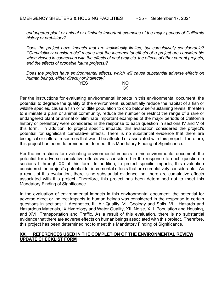*endangered plant or animal or eliminate important examples of the major periods of California history or prehistory?*

*Does the project have impacts that are individually limited, but cumulatively considerable? ("Cumulatively considerable" means that the incremental effects of a project are considerable when viewed in connection with the effects of past projects, the effects of other current projects, and the effects of probable future projects)?*

*Does the project have environmental effects, which will cause substantial adverse effects on human beings, either directly or indirectly?*



Per the instructions for evaluating environmental impacts in this environmental document, the potential to degrade the quality of the environment, substantially reduce the habitat of a fish or wildlife species, cause a fish or wildlife population to drop below self-sustaining levels, threaten to eliminate a plant or animal community, reduce the number or restrict the range of a rare or endangered plant or animal or eliminate important examples of the major periods of California history or prehistory were considered in the response to each question in sections IV and V of this form. In addition, to project specific impacts, this evaluation considered the project's potential for significant cumulative effects. There is no substantial evidence that there are biological or cultural resources that would be affected or associated with this project. Therefore, this project has been determined not to meet this Mandatory Finding of Significance.

Per the instructions for evaluating environmental impacts in this environmental document, the potential for adverse cumulative effects was considered in the response to each question in sections I through XX of this form. In addition, to project specific impacts, this evaluation considered the project's potential for incremental effects that are cumulatively considerable. As a result of this evaluation, there is no substantial evidence that there are cumulative effects associated with this project. Therefore, this project has been determined not to meet this Mandatory Finding of Significance.

In the evaluation of environmental impacts in this environmental document, the potential for adverse direct or indirect impacts to human beings was considered in the response to certain questions in sections: I. Aesthetics, III. Air Quality, VI. Geology and Soils, VIII. Hazards and Hazardous Materials, IX Hydrology and Water Quality, XII. Noise, XIII. Population and Housing, and XVI. Transportation and Traffic. As a result of this evaluation, there is no substantial evidence that there are adverse effects on human beings associated with this project. Therefore, this project has been determined not to meet this Mandatory Finding of Significance.

# **XX. REFERENCES USED IN THE COMPLETION OF THE ENVIRONMENTAL REVIEW UPDATE CHECKLIST FORM**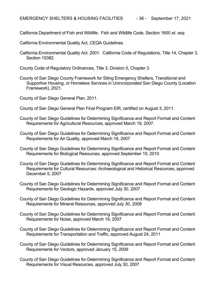California Department of Fish and Wildlife. Fish and Wildlife Code, Section 1600 *et. seq.*

California Environmental Quality Act, CEQA Guidelines

California Environmental Quality Act. 2001. California Code of Regulations, Title 14, Chapter 3, Section 15382.

County Code of Regulatory Ordinances, Title 3, Division 5, Chapter 3

County of San Diego County Framework for Siting Emergency Shelters, Transitional and Supportive Housing, or Homeless Services in Unincorporated San Diego County (Location Framework), 2021.

County of San Diego General Plan, 2011.

County of San Diego General Plan Final Program EIR, certified on August 3, 2011.

- County of San Diego Guidelines for Determining Significance and Report Format and Content Requirements for Agricultural Resources, approved March 19, 2007.
- County of San Diego Guidelines for Determining Significance and Report Format and Content Requirements for Air Quality, approved March 19, 2007
- County of San Diego Guidelines for Determining Significance and Report Format and Content Requirements for Biological Resources, approved September 15, 2010
- County of San Diego Guidelines for Determining Significance and Report Format and Content Requirements for Cultural Resources: Archaeological and Historical Resources, approved December 5, 2007
- County of San Diego Guidelines for Determining Significance and Report Format and Content Requirements for Geologic Hazards, approved July 30, 2007
- County of San Diego Guidelines for Determining Significance and Report Format and Content Requirements for Mineral Resources, approved July 30, 2008
- County of San Diego Guidelines for Determining Significance and Report Format and Content Requirements for Noise, approved March 19, 2007
- County of San Diego Guidelines for Determining Significance and Report Format and Content Requirements for Transportation and Traffic, approved August 24, 2011
- County of San Diego Guidelines for Determining Significance and Report Format and Content Requirements for Vectors, approved January 15, 2009
- County of San Diego Guidelines for Determining Significance and Report Format and Content Requirements for Visual Resources, approved July 30, 2007